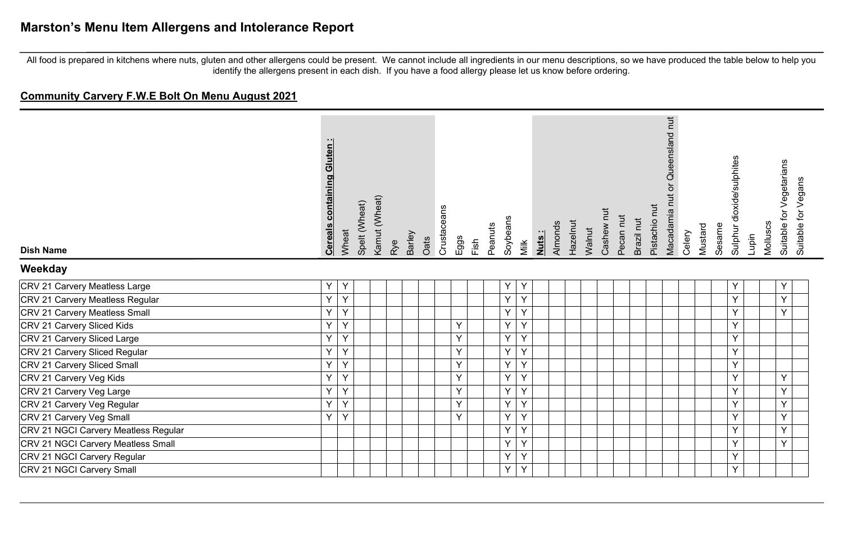**Community Carvery F.W.E Bolt On Menu August 2021**

| <b>Dish Name</b>                     | <b>Cereals containing Gluten:</b> | Wheat | Spelt (Wheat) | Kamut (Wheat) | Rye | Barley | Oats | Crustaceans | Eggs | Fish | Peanuts | Soybeans     | Milk | Nuts: | Almonds | Hazelnut | Walnut | Cashew nut | Pecan nut | Brazil nut | Pistachio nut | Macadamia nut or Queensland nut | Celery | Mustard | Sesame | Sulphur dioxide/sulphites | Lupin | Molluscs | Suitable for Vegetarians<br>Suitable for Vegans |  |
|--------------------------------------|-----------------------------------|-------|---------------|---------------|-----|--------|------|-------------|------|------|---------|--------------|------|-------|---------|----------|--------|------------|-----------|------------|---------------|---------------------------------|--------|---------|--------|---------------------------|-------|----------|-------------------------------------------------|--|
| Weekday                              |                                   |       |               |               |     |        |      |             |      |      |         |              |      |       |         |          |        |            |           |            |               |                                 |        |         |        |                           |       |          |                                                 |  |
| CRV 21 Carvery Meatless Large        | Υ                                 | Y     |               |               |     |        |      |             |      |      |         | Υ            | Y    |       |         |          |        |            |           |            |               |                                 |        |         |        | Y                         |       |          | Υ                                               |  |
| CRV 21 Carvery Meatless Regular      | Y                                 | Y     |               |               |     |        |      |             |      |      |         | Y            | Y    |       |         |          |        |            |           |            |               |                                 |        |         |        | Y                         |       |          | Y                                               |  |
| CRV 21 Carvery Meatless Small        | Υ                                 | Y     |               |               |     |        |      |             |      |      |         | Y            | Y    |       |         |          |        |            |           |            |               |                                 |        |         |        | Y                         |       |          | $\vee$                                          |  |
| CRV 21 Carvery Sliced Kids           | Υ                                 | Υ     |               |               |     |        |      |             | Y    |      |         | Y            | Υ    |       |         |          |        |            |           |            |               |                                 |        |         |        | Y                         |       |          |                                                 |  |
| CRV 21 Carvery Sliced Large          | Y                                 | Υ     |               |               |     |        |      |             | Y    |      |         | Y            | Y    |       |         |          |        |            |           |            |               |                                 |        |         |        | Y                         |       |          |                                                 |  |
| CRV 21 Carvery Sliced Regular        | Υ                                 | Y     |               |               |     |        |      |             | Y    |      |         | Y            | Y    |       |         |          |        |            |           |            |               |                                 |        |         |        | Y                         |       |          |                                                 |  |
| CRV 21 Carvery Sliced Small          | Υ                                 | Y     |               |               |     |        |      |             | Y    |      |         | Y            | Y    |       |         |          |        |            |           |            |               |                                 |        |         |        | Y                         |       |          |                                                 |  |
| CRV 21 Carvery Veg Kids              | Y                                 | Y     |               |               |     |        |      |             | Y    |      |         | Y            | Y    |       |         |          |        |            |           |            |               |                                 |        |         |        | Y                         |       |          | Y                                               |  |
| CRV 21 Carvery Veg Large             | Y                                 | Y     |               |               |     |        |      |             | Y    |      |         | $\mathsf{Y}$ | Y    |       |         |          |        |            |           |            |               |                                 |        |         |        | Y                         |       |          | $\mathsf{Y}$                                    |  |
| CRV 21 Carvery Veg Regular           | Y                                 | Y     |               |               |     |        |      |             | Y    |      |         | Y            | Y    |       |         |          |        |            |           |            |               |                                 |        |         |        | Y                         |       |          | Y                                               |  |
| CRV 21 Carvery Veg Small             | Y                                 | Y     |               |               |     |        |      |             | Y    |      |         | Y            | Y    |       |         |          |        |            |           |            |               |                                 |        |         |        | Y                         |       |          | Y                                               |  |
| CRV 21 NGCI Carvery Meatless Regular |                                   |       |               |               |     |        |      |             |      |      |         | Y            | Y    |       |         |          |        |            |           |            |               |                                 |        |         |        | Y                         |       |          | Y                                               |  |
| CRV 21 NGCI Carvery Meatless Small   |                                   |       |               |               |     |        |      |             |      |      |         | Y            | Y    |       |         |          |        |            |           |            |               |                                 |        |         |        | Y                         |       |          | Y                                               |  |
| CRV 21 NGCI Carvery Regular          |                                   |       |               |               |     |        |      |             |      |      |         | Y            | Y    |       |         |          |        |            |           |            |               |                                 |        |         |        | Y                         |       |          |                                                 |  |
| CRV 21 NGCI Carvery Small            |                                   |       |               |               |     |        |      |             |      |      |         | Υ            | Y    |       |         |          |        |            |           |            |               |                                 |        |         |        | Y                         |       |          |                                                 |  |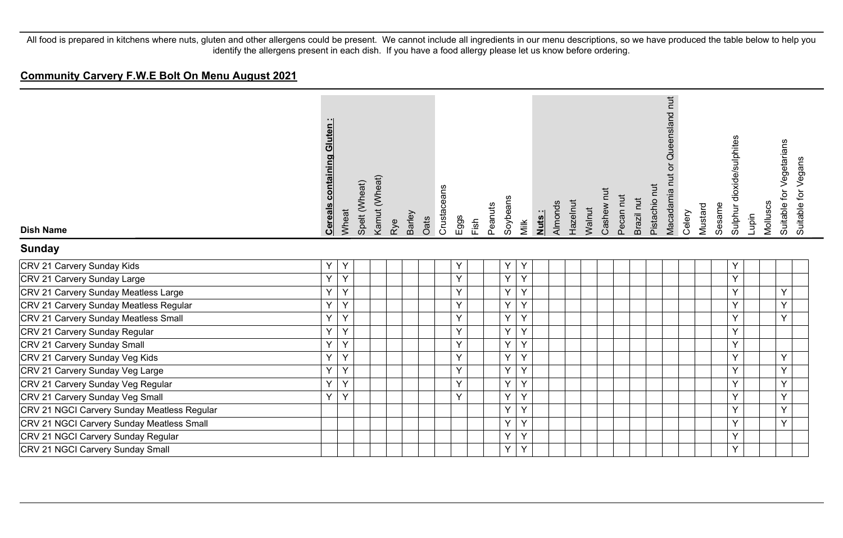#### **Community Carvery F.W.E Bolt On Menu August 2021**

| <b>Dish Name</b>                            | <b>Cereals containing Gluten:</b> | Wheat | Spelt (Wheat) | Kamut (Wheat) | Rye | Barley | Oats | Crustaceans | Eggs<br>Fish | Peanuts | Soybeans | Milk    | Nuts: | Almonds | Hazelnut | Walnut | Cashew nut | Pecan nut | Brazil nut | Pistachio nut | Macadamia nut or Queensland nut | Celery | Mustard | Sesame | Sulphur dioxide/sulphites | Lupin | Molluscs | Suitable for Vegetarians | Suitable for Vegans |
|---------------------------------------------|-----------------------------------|-------|---------------|---------------|-----|--------|------|-------------|--------------|---------|----------|---------|-------|---------|----------|--------|------------|-----------|------------|---------------|---------------------------------|--------|---------|--------|---------------------------|-------|----------|--------------------------|---------------------|
| <b>Sunday</b>                               |                                   |       |               |               |     |        |      |             |              |         |          |         |       |         |          |        |            |           |            |               |                                 |        |         |        |                           |       |          |                          |                     |
| CRV 21 Carvery Sunday Kids                  | Y                                 | Y     |               |               |     |        |      |             | Υ            |         | Υ        | Y       |       |         |          |        |            |           |            |               |                                 |        |         |        | Υ                         |       |          |                          |                     |
| CRV 21 Carvery Sunday Large                 | Y.                                | Y     |               |               |     |        |      |             | Y            |         | Y        | Y       |       |         |          |        |            |           |            |               |                                 |        |         |        | Y                         |       |          |                          |                     |
| CRV 21 Carvery Sunday Meatless Large        | Y                                 | Y     |               |               |     |        |      |             | Y            |         | Y        | Y       |       |         |          |        |            |           |            |               |                                 |        |         |        | Y                         |       |          | Y                        |                     |
| CRV 21 Carvery Sunday Meatless Regular      | Y                                 | Y     |               |               |     |        |      |             | Y            |         | Y        | Y       |       |         |          |        |            |           |            |               |                                 |        |         |        | Y                         |       |          | Y                        |                     |
| CRV 21 Carvery Sunday Meatless Small        | Y                                 | Y     |               |               |     |        |      |             | Y            |         | Y        | Y       |       |         |          |        |            |           |            |               |                                 |        |         |        | Y                         |       |          | Y                        |                     |
| CRV 21 Carvery Sunday Regular               | Υ                                 | Y     |               |               |     |        |      |             | Y            |         | Y        | Y       |       |         |          |        |            |           |            |               |                                 |        |         |        | Y                         |       |          |                          |                     |
| CRV 21 Carvery Sunday Small                 | Y.                                | Y     |               |               |     |        |      |             | Y            |         | Y        | Y       |       |         |          |        |            |           |            |               |                                 |        |         |        | Y                         |       |          |                          |                     |
| CRV 21 Carvery Sunday Veg Kids              | Y                                 | Y     |               |               |     |        |      |             | Y            |         | Y        | Y       |       |         |          |        |            |           |            |               |                                 |        |         |        | Y                         |       |          | Y                        |                     |
| CRV 21 Carvery Sunday Veg Large             | Y.                                | Y     |               |               |     |        |      |             | Y            |         | Y        | Y       |       |         |          |        |            |           |            |               |                                 |        |         |        | Y                         |       |          | Y                        |                     |
| CRV 21 Carvery Sunday Veg Regular           | Y.                                | Y     |               |               |     |        |      |             | Y            |         | Y        | Y       |       |         |          |        |            |           |            |               |                                 |        |         |        | $\vee$                    |       |          | Y                        |                     |
| CRV 21 Carvery Sunday Veg Small             | Y                                 | Y     |               |               |     |        |      |             | $\checkmark$ |         | Y        | Y       |       |         |          |        |            |           |            |               |                                 |        |         |        | Y                         |       |          | Y                        |                     |
| CRV 21 NGCI Carvery Sunday Meatless Regular |                                   |       |               |               |     |        |      |             |              |         | Y        | Y       |       |         |          |        |            |           |            |               |                                 |        |         |        | <b>v</b>                  |       |          | Y                        |                     |
| CRV 21 NGCI Carvery Sunday Meatless Small   |                                   |       |               |               |     |        |      |             |              |         | Y        | Y       |       |         |          |        |            |           |            |               |                                 |        |         |        | Y                         |       |          | Y                        |                     |
| CRV 21 NGCI Carvery Sunday Regular          |                                   |       |               |               |     |        |      |             |              |         | Y        | $\sf Y$ |       |         |          |        |            |           |            |               |                                 |        |         |        | Y                         |       |          |                          |                     |
| CRV 21 NGCI Carvery Sunday Small            |                                   |       |               |               |     |        |      |             |              |         | Y.       | Y       |       |         |          |        |            |           |            |               |                                 |        |         |        | Y                         |       |          |                          |                     |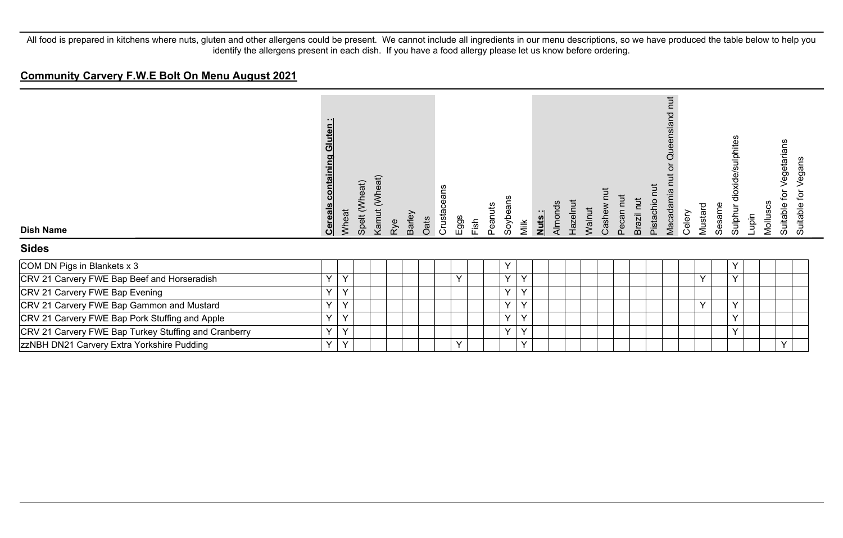#### **Community Carvery F.W.E Bolt On Menu August 2021**

| <b>Dish Name</b>                                     | Gluten<br>containing<br><b>Cereals</b> | Wheat  | Spelt (Wheat) | Kamut (Wheat) | Barley<br>Rye | Oats | Crustaceans | Eggs         | Fish | Peanuts | Soybeans<br>Milk  | Nuts: | Almonds | Hazelnu | Walnut | Cashew | Pecan nu | Brazil nut | <b>Tut</b><br>Pistachio | nut<br>nslar<br>Queer<br>Macadamia | Celery | Mustard      | Sesame | dioxide/sulphites<br>Sulphur | Molluscs<br>Lupin | egetarians<br>₫<br>Suitable | egans<br>><br>đ<br>Suitable |  |
|------------------------------------------------------|----------------------------------------|--------|---------------|---------------|---------------|------|-------------|--------------|------|---------|-------------------|-------|---------|---------|--------|--------|----------|------------|-------------------------|------------------------------------|--------|--------------|--------|------------------------------|-------------------|-----------------------------|-----------------------------|--|
| <b>Sides</b>                                         |                                        |        |               |               |               |      |             |              |      |         |                   |       |         |         |        |        |          |            |                         |                                    |        |              |        |                              |                   |                             |                             |  |
| COM DN Pigs in Blankets x 3                          |                                        |        |               |               |               |      |             |              |      |         | Υ                 |       |         |         |        |        |          |            |                         |                                    |        |              |        | Y                            |                   |                             |                             |  |
| CRV 21 Carvery FWE Bap Beef and Horseradish          | $\vee$                                 | Y      |               |               |               |      |             | $\checkmark$ |      |         | Y<br>Y            |       |         |         |        |        |          |            |                         |                                    |        | $\checkmark$ |        | V                            |                   |                             |                             |  |
| CRV 21 Carvery FWE Bap Evening                       | Y                                      | Y      |               |               |               |      |             |              |      |         | Υ<br>Y            |       |         |         |        |        |          |            |                         |                                    |        |              |        |                              |                   |                             |                             |  |
| CRV 21 Carvery FWE Bap Gammon and Mustard            | Y                                      | Y      |               |               |               |      |             |              |      |         | Υ<br>Y            |       |         |         |        |        |          |            |                         |                                    |        | $\checkmark$ |        | Y                            |                   |                             |                             |  |
| CRV 21 Carvery FWE Bap Pork Stuffing and Apple       | $\vee$                                 | $\vee$ |               |               |               |      |             |              |      |         | Y<br>$\checkmark$ |       |         |         |        |        |          |            |                         |                                    |        |              |        | Y                            |                   |                             |                             |  |
| CRV 21 Carvery FWE Bap Turkey Stuffing and Cranberry | $\vee$                                 | Y      |               |               |               |      |             |              |      |         | Y<br>Y            |       |         |         |        |        |          |            |                         |                                    |        |              |        | v                            |                   |                             |                             |  |
| zzNBH DN21 Carvery Extra Yorkshire Pudding           | Y                                      | Y      |               |               |               |      |             | $\checkmark$ |      |         | $\checkmark$      |       |         |         |        |        |          |            |                         |                                    |        |              |        |                              |                   | Y                           |                             |  |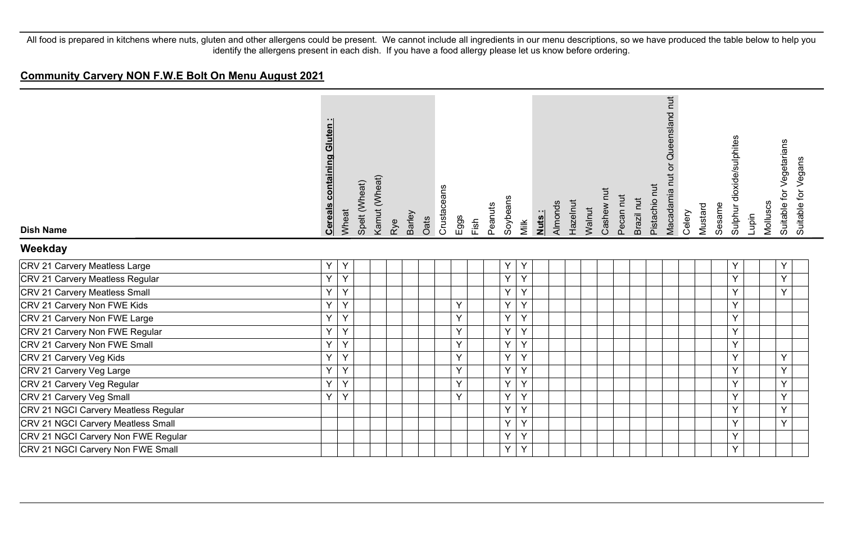#### **Community Carvery NON F.W.E Bolt On Menu August 2021**

| <b>Dish Name</b>                     | <b>Cereals containing Gluten:</b> | Wheat | Spelt (Wheat) | Kamut (Wheat) | Rye | Barley<br>Oats | Crustaceans | Eggs | Fish | Peanuts | Soybeans | Milk | <u>Nuts:</u> | Almonds | Hazelnut | Walnut | Cashew nut | Pecan nut | Brazil nut | Pistachio nut | or Queensland nut<br>Macadamia nut | Celery | Mustard | Sesame | Sulphur dioxide/sulphites | Molluscs<br>Lupin | for Vegetarians<br>Suitable f | Suitable for Vegans |
|--------------------------------------|-----------------------------------|-------|---------------|---------------|-----|----------------|-------------|------|------|---------|----------|------|--------------|---------|----------|--------|------------|-----------|------------|---------------|------------------------------------|--------|---------|--------|---------------------------|-------------------|-------------------------------|---------------------|
| Weekday                              |                                   |       |               |               |     |                |             |      |      |         |          |      |              |         |          |        |            |           |            |               |                                    |        |         |        |                           |                   |                               |                     |
| CRV 21 Carvery Meatless Large        | Y                                 | Y     |               |               |     |                |             |      |      |         | Υ        | Y    |              |         |          |        |            |           |            |               |                                    |        |         |        | Y                         |                   | Y                             |                     |
| CRV 21 Carvery Meatless Regular      | Y                                 | Y     |               |               |     |                |             |      |      |         | Υ        | Υ    |              |         |          |        |            |           |            |               |                                    |        |         |        | Y                         |                   | Y                             |                     |
| CRV 21 Carvery Meatless Small        | Υ                                 | Y     |               |               |     |                |             |      |      |         | Y        | Y    |              |         |          |        |            |           |            |               |                                    |        |         |        | Y                         |                   | Y                             |                     |
| CRV 21 Carvery Non FWE Kids          | Y                                 | Y     |               |               |     |                |             | Y    |      |         | Y        | Y    |              |         |          |        |            |           |            |               |                                    |        |         |        | Y                         |                   |                               |                     |
| CRV 21 Carvery Non FWE Large         | Υ                                 | Y     |               |               |     |                |             | Y    |      |         | Υ        | Υ    |              |         |          |        |            |           |            |               |                                    |        |         |        | Y                         |                   |                               |                     |
| CRV 21 Carvery Non FWE Regular       | Υ                                 | Υ     |               |               |     |                |             | Y    |      |         | Υ        | Υ    |              |         |          |        |            |           |            |               |                                    |        |         |        | Y                         |                   |                               |                     |
| CRV 21 Carvery Non FWE Small         | Y                                 | Y     |               |               |     |                |             | Y    |      |         | Υ        | Y    |              |         |          |        |            |           |            |               |                                    |        |         |        | Y                         |                   |                               |                     |
| CRV 21 Carvery Veg Kids              | Y                                 | Y     |               |               |     |                |             | Y    |      |         | Y        | Y    |              |         |          |        |            |           |            |               |                                    |        |         |        | Y                         |                   | Y                             |                     |
| CRV 21 Carvery Veg Large             | Υ                                 | Y     |               |               |     |                |             | Y    |      |         | $\sf Y$  | Y    |              |         |          |        |            |           |            |               |                                    |        |         |        | Y                         |                   | Y.                            |                     |
| CRV 21 Carvery Veg Regular           | Y                                 | Y     |               |               |     |                |             | Y    |      |         | Y        | Y    |              |         |          |        |            |           |            |               |                                    |        |         |        | Y                         |                   | Y                             |                     |
| CRV 21 Carvery Veg Small             | Y                                 | Y     |               |               |     |                |             | Y    |      |         | Υ        | Y    |              |         |          |        |            |           |            |               |                                    |        |         |        | Y                         |                   | Y                             |                     |
| CRV 21 NGCI Carvery Meatless Regular |                                   |       |               |               |     |                |             |      |      |         | Y        | Y    |              |         |          |        |            |           |            |               |                                    |        |         |        | Y                         |                   | Y                             |                     |
| CRV 21 NGCI Carvery Meatless Small   |                                   |       |               |               |     |                |             |      |      |         | Υ        | Y    |              |         |          |        |            |           |            |               |                                    |        |         |        | Y                         |                   | Y                             |                     |
| CRV 21 NGCI Carvery Non FWE Regular  |                                   |       |               |               |     |                |             |      |      |         | Y        | Y    |              |         |          |        |            |           |            |               |                                    |        |         |        | Y                         |                   |                               |                     |
| CRV 21 NGCI Carvery Non FWE Small    |                                   |       |               |               |     |                |             |      |      |         | Y        | Y    |              |         |          |        |            |           |            |               |                                    |        |         |        | Y                         |                   |                               |                     |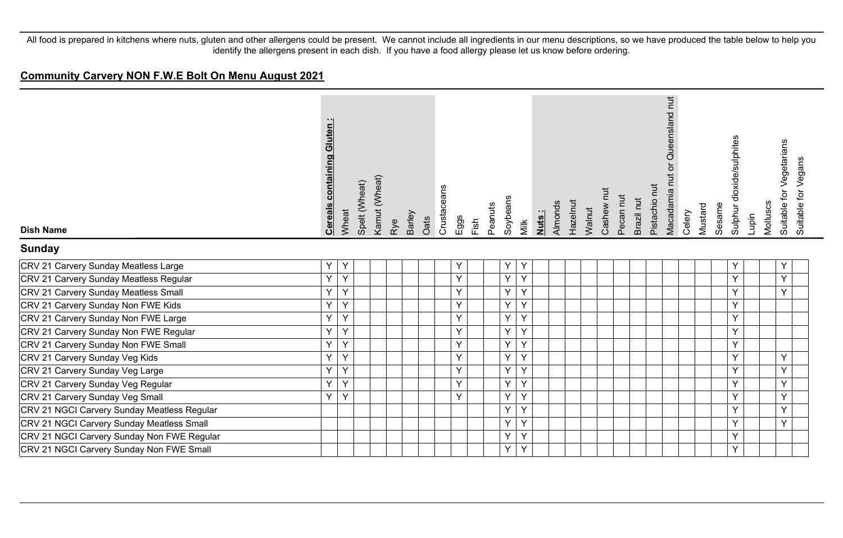#### **Community Carvery NON F.W.E Bolt On Menu August 2021**

| <b>Dish Name</b>                            | <b>Cereals containing Gluten:</b> | Wheat | Spelt (Wheat) | Kamut (Wheat) | Rye | Barley<br>Oats | Crustaceans | Eggs | Fish | Peanuts | Soybeans | Milk | Nuts: | Almonds | Hazelnut | Walnut | Cashew nut | Pecan nut | Brazil nut | Pistachio nut | Queensland nut<br>$\overline{0}$<br>Macadamia nut | Celery | Mustard | Sesame | Sulphur dioxide/sulphites | Lupin | Molluscs | Suitable for Vegetarians | Suitable for Vegans |
|---------------------------------------------|-----------------------------------|-------|---------------|---------------|-----|----------------|-------------|------|------|---------|----------|------|-------|---------|----------|--------|------------|-----------|------------|---------------|---------------------------------------------------|--------|---------|--------|---------------------------|-------|----------|--------------------------|---------------------|
| <b>Sunday</b>                               |                                   |       |               |               |     |                |             |      |      |         |          |      |       |         |          |        |            |           |            |               |                                                   |        |         |        |                           |       |          |                          |                     |
| CRV 21 Carvery Sunday Meatless Large        | Y                                 | Y     |               |               |     |                |             | Υ    |      |         | Υ        | Y    |       |         |          |        |            |           |            |               |                                                   |        |         |        | Υ                         |       |          | Y                        |                     |
| CRV 21 Carvery Sunday Meatless Regular      | Ÿ                                 | Y     |               |               |     |                |             | Y    |      |         | Y        | Y    |       |         |          |        |            |           |            |               |                                                   |        |         |        | Y                         |       |          | Y                        |                     |
| CRV 21 Carvery Sunday Meatless Small        | Y                                 | Y     |               |               |     |                |             | Y    |      |         | Y        | Y    |       |         |          |        |            |           |            |               |                                                   |        |         |        | Y                         |       |          | Y                        |                     |
| CRV 21 Carvery Sunday Non FWE Kids          | Y.                                | Y     |               |               |     |                |             | Y    |      |         | Y        | Y    |       |         |          |        |            |           |            |               |                                                   |        |         |        | Y                         |       |          |                          |                     |
| CRV 21 Carvery Sunday Non FWE Large         | Y                                 | Y     |               |               |     |                |             | Y    |      |         | Ÿ        | Y    |       |         |          |        |            |           |            |               |                                                   |        |         |        | Y                         |       |          |                          |                     |
| CRV 21 Carvery Sunday Non FWE Regular       | Y                                 | Y     |               |               |     |                |             | Y    |      |         | Y        | Y    |       |         |          |        |            |           |            |               |                                                   |        |         |        | Y                         |       |          |                          |                     |
| CRV 21 Carvery Sunday Non FWE Small         | $\checkmark$                      | Y     |               |               |     |                |             | Y    |      |         | Y        | Y    |       |         |          |        |            |           |            |               |                                                   |        |         |        | Y                         |       |          |                          |                     |
| CRV 21 Carvery Sunday Veg Kids              | $\checkmark$                      | Y     |               |               |     |                |             | Y    |      |         | Ÿ        | Y    |       |         |          |        |            |           |            |               |                                                   |        |         |        | Y                         |       |          | Y                        |                     |
| CRV 21 Carvery Sunday Veg Large             | Y                                 | Y     |               |               |     |                |             | Y    |      |         | Y        | Υ    |       |         |          |        |            |           |            |               |                                                   |        |         |        | Y                         |       |          | Y                        |                     |
| CRV 21 Carvery Sunday Veg Regular           | $\checkmark$                      | Y     |               |               |     |                |             | Y    |      |         | Y        | Y    |       |         |          |        |            |           |            |               |                                                   |        |         |        | Y                         |       |          | Y                        |                     |
| CRV 21 Carvery Sunday Veg Small             | $\vee$                            | Y     |               |               |     |                |             | Y    |      |         | Y        | Y    |       |         |          |        |            |           |            |               |                                                   |        |         |        | Y                         |       |          | Y                        |                     |
| CRV 21 NGCI Carvery Sunday Meatless Regular |                                   |       |               |               |     |                |             |      |      |         | Y        | Y    |       |         |          |        |            |           |            |               |                                                   |        |         |        | Y                         |       |          | Y                        |                     |
| CRV 21 NGCI Carvery Sunday Meatless Small   |                                   |       |               |               |     |                |             |      |      |         | Y        | Υ    |       |         |          |        |            |           |            |               |                                                   |        |         |        | Y                         |       |          | Y                        |                     |
| CRV 21 NGCI Carvery Sunday Non FWE Regular  |                                   |       |               |               |     |                |             |      |      |         | Y        | Y    |       |         |          |        |            |           |            |               |                                                   |        |         |        | Y                         |       |          |                          |                     |
| CRV 21 NGCI Carvery Sunday Non FWE Small    |                                   |       |               |               |     |                |             |      |      |         | Y        | Y    |       |         |          |        |            |           |            |               |                                                   |        |         |        | Y                         |       |          |                          |                     |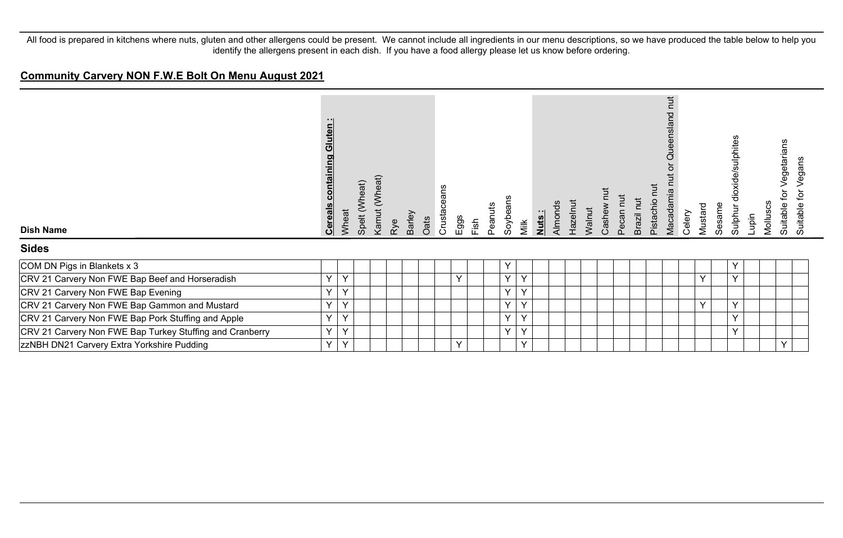#### **Community Carvery NON F.W.E Bolt On Menu August 2021**

| <b>Dish Name</b>                                         | Gluten:<br><b>Cereals containing</b> | Wheat        | Spelt (Wheat) | Kamut (Wheat) | Rye | Barley<br>Oats | ans<br>Φ<br>Crustace | Eggs         | Fish | Peanuts | Soybeans     | Milk         | Almonds<br>Nuts: | Hazelnut | Walnut | Cashew | Pecan nu | Brazil nut | $\overline{a}$<br>pistachio | hut<br>nslar<br>ā<br>Macadamia | Celery | Mustard | Sesame | dioxide/sulphites<br>Sulphur | Molluscs<br>Lupin | egetarians<br>₫<br>Suitable | Vegans<br>đ<br>Suitable |
|----------------------------------------------------------|--------------------------------------|--------------|---------------|---------------|-----|----------------|----------------------|--------------|------|---------|--------------|--------------|------------------|----------|--------|--------|----------|------------|-----------------------------|--------------------------------|--------|---------|--------|------------------------------|-------------------|-----------------------------|-------------------------|
| <b>Sides</b>                                             |                                      |              |               |               |     |                |                      |              |      |         |              |              |                  |          |        |        |          |            |                             |                                |        |         |        |                              |                   |                             |                         |
| COM DN Pigs in Blankets x 3                              |                                      |              |               |               |     |                |                      |              |      |         | Υ            |              |                  |          |        |        |          |            |                             |                                |        |         |        | Υ                            |                   |                             |                         |
| CRV 21 Carvery Non FWE Bap Beef and Horseradish          | $\vee$                               | $\vee$       |               |               |     |                |                      | V            |      |         | $\checkmark$ | $\checkmark$ |                  |          |        |        |          |            |                             |                                |        | Y       |        | Y                            |                   |                             |                         |
| CRV 21 Carvery Non FWE Bap Evening                       | Y                                    | $\checkmark$ |               |               |     |                |                      |              |      |         | Y            | Y            |                  |          |        |        |          |            |                             |                                |        |         |        |                              |                   |                             |                         |
| CRV 21 Carvery Non FWE Bap Gammon and Mustard            | Y                                    | $\checkmark$ |               |               |     |                |                      |              |      |         | Y            | $\checkmark$ |                  |          |        |        |          |            |                             |                                |        | Y       |        | Y                            |                   |                             |                         |
| CRV 21 Carvery Non FWE Bap Pork Stuffing and Apple       | $\checkmark$                         | $\checkmark$ |               |               |     |                |                      |              |      |         | $\checkmark$ | $\checkmark$ |                  |          |        |        |          |            |                             |                                |        |         |        | $\checkmark$                 |                   |                             |                         |
| CRV 21 Carvery Non FWE Bap Turkey Stuffing and Cranberry | $\vee$                               | $\checkmark$ |               |               |     |                |                      |              |      |         | $\checkmark$ | $\checkmark$ |                  |          |        |        |          |            |                             |                                |        |         |        | v                            |                   |                             |                         |
| <b>zzNBH DN21 Carvery Extra Yorkshire Pudding</b>        | Y                                    | $\checkmark$ |               |               |     |                |                      | $\checkmark$ |      |         |              | $\checkmark$ |                  |          |        |        |          |            |                             |                                |        |         |        |                              |                   | Y                           |                         |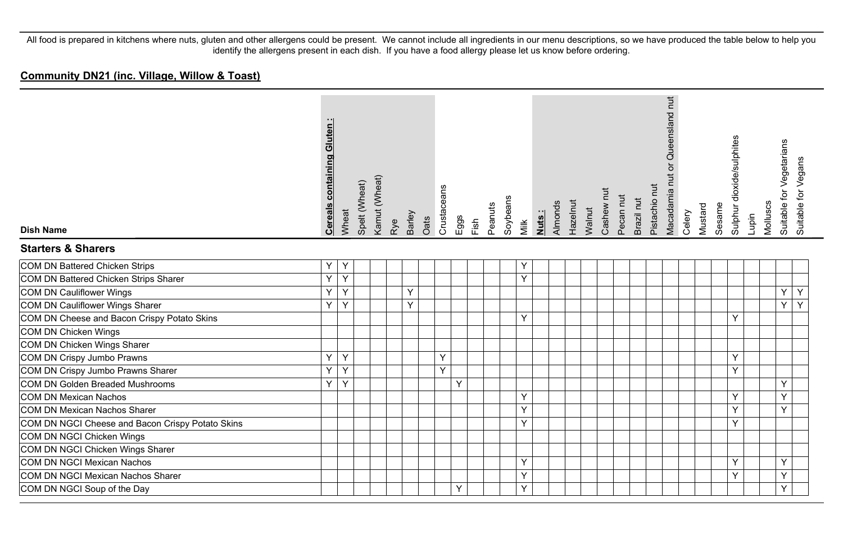| <b>Dish Name</b>                                 | containing Gluten:<br><b>Cereals</b> | Wheat | Spelt (Wheat) | Kamut (Wheat) | Barley<br>Rye | Oats | Crustaceans | Eggs | Fish | Peanuts | Soybeans | Milk | Almonds<br>Nuts: | Hazelnut | Walnut | Cashew nut | Pecan nut | Brazil nut | Pistachio nut | Macadamia nut or Queensland nut | Celery | Mustard | Sesame | Sulphur dioxide/sulphites | Lupin | Molluscs | Suitable for Vegetarians | Suitable for Vegans |
|--------------------------------------------------|--------------------------------------|-------|---------------|---------------|---------------|------|-------------|------|------|---------|----------|------|------------------|----------|--------|------------|-----------|------------|---------------|---------------------------------|--------|---------|--------|---------------------------|-------|----------|--------------------------|---------------------|
| <b>Starters &amp; Sharers</b>                    |                                      |       |               |               |               |      |             |      |      |         |          |      |                  |          |        |            |           |            |               |                                 |        |         |        |                           |       |          |                          |                     |
| COM DN Battered Chicken Strips                   | Y                                    | Y     |               |               |               |      |             |      |      |         |          | Υ    |                  |          |        |            |           |            |               |                                 |        |         |        |                           |       |          |                          |                     |
| COM DN Battered Chicken Strips Sharer            | Y                                    | Y     |               |               |               |      |             |      |      |         |          | Y    |                  |          |        |            |           |            |               |                                 |        |         |        |                           |       |          |                          |                     |
| COM DN Cauliflower Wings                         | Y                                    | Y     |               |               | Y             |      |             |      |      |         |          |      |                  |          |        |            |           |            |               |                                 |        |         |        |                           |       |          | Υ                        | Y                   |
| COM DN Cauliflower Wings Sharer                  | Y.                                   | Y     |               |               | Y             |      |             |      |      |         |          |      |                  |          |        |            |           |            |               |                                 |        |         |        |                           |       |          | Y                        | Y                   |
| COM DN Cheese and Bacon Crispy Potato Skins      |                                      |       |               |               |               |      |             |      |      |         |          | Y    |                  |          |        |            |           |            |               |                                 |        |         |        | Y                         |       |          |                          |                     |
| COM DN Chicken Wings                             |                                      |       |               |               |               |      |             |      |      |         |          |      |                  |          |        |            |           |            |               |                                 |        |         |        |                           |       |          |                          |                     |
| COM DN Chicken Wings Sharer                      |                                      |       |               |               |               |      |             |      |      |         |          |      |                  |          |        |            |           |            |               |                                 |        |         |        |                           |       |          |                          |                     |
| COM DN Crispy Jumbo Prawns                       | Y.                                   | Y     |               |               |               |      | Y           |      |      |         |          |      |                  |          |        |            |           |            |               |                                 |        |         |        | Y                         |       |          |                          |                     |
| COM DN Crispy Jumbo Prawns Sharer                | Y                                    | Y     |               |               |               |      | Y           |      |      |         |          |      |                  |          |        |            |           |            |               |                                 |        |         |        | Y                         |       |          |                          |                     |
| COM DN Golden Breaded Mushrooms                  | Y.                                   | Y     |               |               |               |      |             | Y    |      |         |          |      |                  |          |        |            |           |            |               |                                 |        |         |        |                           |       |          | Y                        |                     |
| COM DN Mexican Nachos                            |                                      |       |               |               |               |      |             |      |      |         |          | Y    |                  |          |        |            |           |            |               |                                 |        |         |        | Y                         |       |          | Y                        |                     |
| COM DN Mexican Nachos Sharer                     |                                      |       |               |               |               |      |             |      |      |         |          | Y    |                  |          |        |            |           |            |               |                                 |        |         |        | Y                         |       |          | Y                        |                     |
| COM DN NGCI Cheese and Bacon Crispy Potato Skins |                                      |       |               |               |               |      |             |      |      |         |          | Y    |                  |          |        |            |           |            |               |                                 |        |         |        | Y                         |       |          |                          |                     |
| COM DN NGCI Chicken Wings                        |                                      |       |               |               |               |      |             |      |      |         |          |      |                  |          |        |            |           |            |               |                                 |        |         |        |                           |       |          |                          |                     |
| COM DN NGCI Chicken Wings Sharer                 |                                      |       |               |               |               |      |             |      |      |         |          |      |                  |          |        |            |           |            |               |                                 |        |         |        |                           |       |          |                          |                     |
| COM DN NGCI Mexican Nachos                       |                                      |       |               |               |               |      |             |      |      |         |          | Y    |                  |          |        |            |           |            |               |                                 |        |         |        | Y                         |       |          | Y                        |                     |
| COM DN NGCI Mexican Nachos Sharer                |                                      |       |               |               |               |      |             |      |      |         |          | Y    |                  |          |        |            |           |            |               |                                 |        |         |        | Y                         |       |          | Y                        |                     |
| COM DN NGCI Soup of the Day                      |                                      |       |               |               |               |      |             | Y    |      |         |          | Y    |                  |          |        |            |           |            |               |                                 |        |         |        |                           |       |          | Y                        |                     |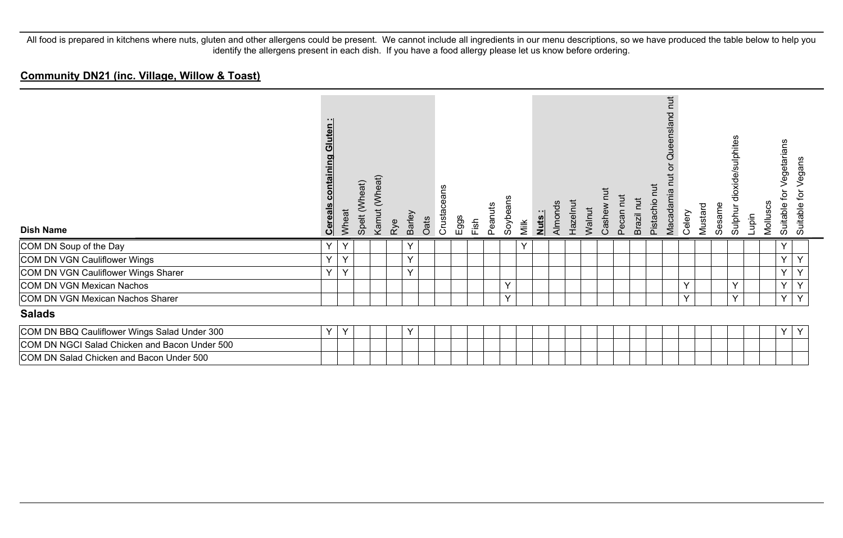| <b>Dish Name</b>                              | - 11<br>uten<br>$\overline{0}$<br>containing<br><b>Cereals</b> | Wheat | Spelt (Wheat) | Kamut (Wheat) | Rye | <b>Barley</b><br>Oats | eans<br>Crustace<br>Eggs | Fish | Peanuts | Soybeans | Milk         | Nuts: | Almonds | Hazelnut | Walnut | Cashew nut | Pecan nut | Brazil nut | Pistachio nut | <b>TUT</b><br>Queensland<br>ō<br>Macadamia | Celery | Mustard | Sesame | dioxide/sulphites<br>Sulphur | Lupin | Molluscs | egetarians<br>$\mathsf{p}$<br>Suitable | Vegans<br>흐<br><b>Suitable</b> |
|-----------------------------------------------|----------------------------------------------------------------|-------|---------------|---------------|-----|-----------------------|--------------------------|------|---------|----------|--------------|-------|---------|----------|--------|------------|-----------|------------|---------------|--------------------------------------------|--------|---------|--------|------------------------------|-------|----------|----------------------------------------|--------------------------------|
| COM DN Soup of the Day                        | Y                                                              | Y     |               |               |     | Y                     |                          |      |         |          | $\checkmark$ |       |         |          |        |            |           |            |               |                                            |        |         |        |                              |       |          | Y                                      |                                |
| COM DN VGN Cauliflower Wings                  | Y                                                              | Y     |               |               |     | Y                     |                          |      |         |          |              |       |         |          |        |            |           |            |               |                                            |        |         |        |                              |       |          | Y.                                     | Y                              |
| COM DN VGN Cauliflower Wings Sharer           | Y                                                              | Y     |               |               |     | Y                     |                          |      |         |          |              |       |         |          |        |            |           |            |               |                                            |        |         |        |                              |       |          | Y                                      | Y                              |
| COM DN VGN Mexican Nachos                     |                                                                |       |               |               |     |                       |                          |      |         | Y        |              |       |         |          |        |            |           |            |               |                                            | Y      |         |        | Y                            |       |          | Y                                      | Y                              |
| COM DN VGN Mexican Nachos Sharer              |                                                                |       |               |               |     |                       |                          |      |         | Y        |              |       |         |          |        |            |           |            |               |                                            | Y      |         |        | $\vee$                       |       |          | $\vee$                                 | $\mathsf{Y}$                   |
| <b>Salads</b>                                 |                                                                |       |               |               |     |                       |                          |      |         |          |              |       |         |          |        |            |           |            |               |                                            |        |         |        |                              |       |          |                                        |                                |
| COM DN BBQ Cauliflower Wings Salad Under 300  | Y                                                              | Y     |               |               |     | Y                     |                          |      |         |          |              |       |         |          |        |            |           |            |               |                                            |        |         |        |                              |       |          | Y                                      | Y                              |
| COM DN NGCI Salad Chicken and Bacon Under 500 |                                                                |       |               |               |     |                       |                          |      |         |          |              |       |         |          |        |            |           |            |               |                                            |        |         |        |                              |       |          |                                        |                                |
| COM DN Salad Chicken and Bacon Under 500      |                                                                |       |               |               |     |                       |                          |      |         |          |              |       |         |          |        |            |           |            |               |                                            |        |         |        |                              |       |          |                                        |                                |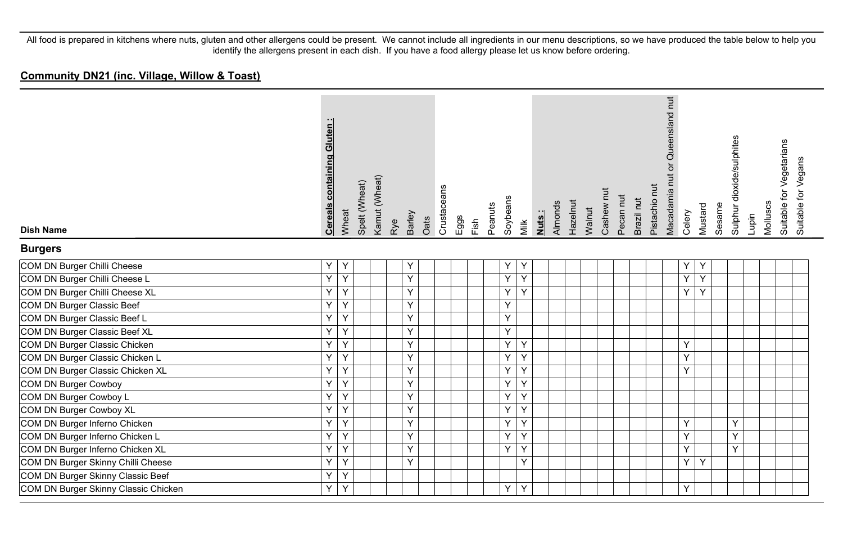| <b>Dish Name</b>                     | containing Gluten<br><b>Cereals</b> | Wheat          | Spelt (Wheat) | Kamut (Wheat) | Rye | Barley | Oats | Crustaceans | Eggs | Fish | Peanuts | Soybeans | Milk | Almonds<br>Nuts: | Hazelnut | Walnut | Cashew nut | Pecan nut | Brazil nut | Pistachio nut | Queensland nut<br>Macadamia nut or | Celery | Mustard        | Sesame | Sulphur dioxide/sulphites | Lupin | Molluscs | Suitable for Vegetarians | Suitable for Vegans |
|--------------------------------------|-------------------------------------|----------------|---------------|---------------|-----|--------|------|-------------|------|------|---------|----------|------|------------------|----------|--------|------------|-----------|------------|---------------|------------------------------------|--------|----------------|--------|---------------------------|-------|----------|--------------------------|---------------------|
| <b>Burgers</b>                       |                                     |                |               |               |     |        |      |             |      |      |         |          |      |                  |          |        |            |           |            |               |                                    |        |                |        |                           |       |          |                          |                     |
| COM DN Burger Chilli Cheese          | $\mathsf{Y}$                        | Y              |               |               | Y   |        |      |             |      |      |         | Υ        | Y    |                  |          |        |            |           |            |               |                                    | Υ      | Y              |        |                           |       |          |                          |                     |
| COM DN Burger Chilli Cheese L        | $\overline{Y}$                      | Y              |               |               |     | Y      |      |             |      |      |         | Y        | Y    |                  |          |        |            |           |            |               |                                    | Y      | $\overline{Y}$ |        |                           |       |          |                          |                     |
| COM DN Burger Chilli Cheese XL       | Ÿ                                   | Y              |               |               |     | Y      |      |             |      |      |         | Υ        | Y    |                  |          |        |            |           |            |               |                                    | Y      | Y              |        |                           |       |          |                          |                     |
| COM DN Burger Classic Beef           | Y.                                  | Y              |               |               |     | Y      |      |             |      |      |         | Υ        |      |                  |          |        |            |           |            |               |                                    |        |                |        |                           |       |          |                          |                     |
| COM DN Burger Classic Beef L         | $\overline{Y}$                      | Y              |               |               |     | Y      |      |             |      |      |         | Υ        |      |                  |          |        |            |           |            |               |                                    |        |                |        |                           |       |          |                          |                     |
| COM DN Burger Classic Beef XL        | Y                                   | $\mathsf{Y}$   |               |               |     | Y      |      |             |      |      |         | Y        |      |                  |          |        |            |           |            |               |                                    |        |                |        |                           |       |          |                          |                     |
| COM DN Burger Classic Chicken        | $\overline{Y}$                      | $\mathsf{Y}$   |               |               |     | Y      |      |             |      |      |         | Y        | Y    |                  |          |        |            |           |            |               |                                    | Y      |                |        |                           |       |          |                          |                     |
| COM DN Burger Classic Chicken L      | Y                                   | Y              |               |               |     | Y      |      |             |      |      |         | Y        | Y    |                  |          |        |            |           |            |               |                                    | Y      |                |        |                           |       |          |                          |                     |
| COM DN Burger Classic Chicken XL     | Y.                                  | Y              |               |               |     | Y      |      |             |      |      |         | Y        | Y    |                  |          |        |            |           |            |               |                                    | Y      |                |        |                           |       |          |                          |                     |
| COM DN Burger Cowboy                 | $\overline{Y}$                      | Y              |               |               |     | Y      |      |             |      |      |         | Y        | Y    |                  |          |        |            |           |            |               |                                    |        |                |        |                           |       |          |                          |                     |
| COM DN Burger Cowboy L               | Ÿ                                   | $\overline{Y}$ |               |               |     | Y      |      |             |      |      |         | Y        | Y    |                  |          |        |            |           |            |               |                                    |        |                |        |                           |       |          |                          |                     |
| COM DN Burger Cowboy XL              | Y                                   | Y              |               |               |     | Y      |      |             |      |      |         | Y        | Y    |                  |          |        |            |           |            |               |                                    |        |                |        |                           |       |          |                          |                     |
| COM DN Burger Inferno Chicken        | Y                                   | Y              |               |               |     | Y      |      |             |      |      |         | Y        | Y    |                  |          |        |            |           |            |               |                                    | Y      |                |        | Y                         |       |          |                          |                     |
| COM DN Burger Inferno Chicken L      | Y.                                  | Y              |               |               |     | Y      |      |             |      |      |         | Y        | Y    |                  |          |        |            |           |            |               |                                    | Y      |                |        | Y                         |       |          |                          |                     |
| COM DN Burger Inferno Chicken XL     | $\overline{Y}$                      | Y              |               |               |     | Y      |      |             |      |      |         | Y        | Y    |                  |          |        |            |           |            |               |                                    | Y      |                |        | Y                         |       |          |                          |                     |
| COM DN Burger Skinny Chilli Cheese   | Y                                   | Y              |               |               | Y   |        |      |             |      |      |         |          | Y    |                  |          |        |            |           |            |               |                                    | Y      | Y              |        |                           |       |          |                          |                     |
| COM DN Burger Skinny Classic Beef    | Y                                   | Y              |               |               |     |        |      |             |      |      |         |          |      |                  |          |        |            |           |            |               |                                    |        |                |        |                           |       |          |                          |                     |
| COM DN Burger Skinny Classic Chicken | $Y \mid$                            | Y              |               |               |     |        |      |             |      |      |         | Y        | Y    |                  |          |        |            |           |            |               |                                    | Y      |                |        |                           |       |          |                          |                     |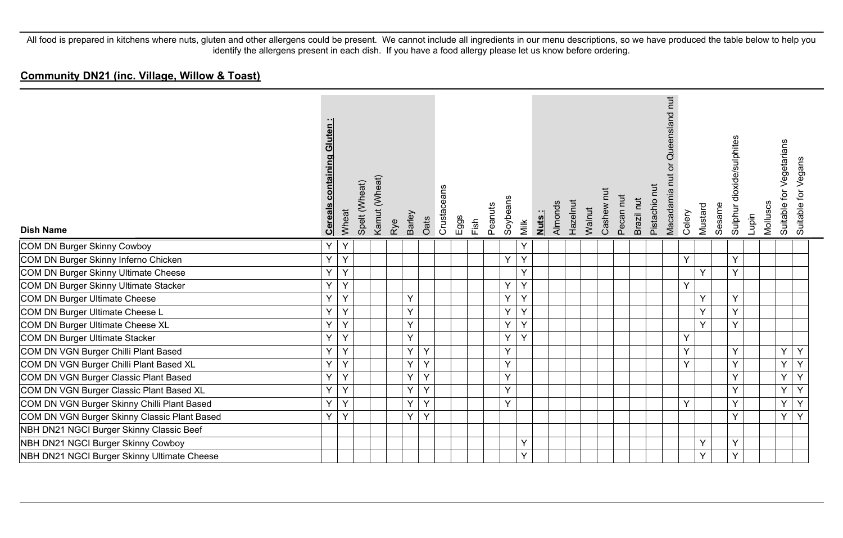| <b>Dish Name</b>                             | containing Gluten:<br><b>Cereals</b> | Wheat | Spelt (Wheat) | Kamut (Wheat) | Rye | <b>Barley</b> | Oats | Crustaceans | $E$ ggs | Fish | Peanuts | Soybeans | Nuts:<br>Milk | Almonds | Hazelnut | Walnut | Cashew nut | Pecan nut | Brazil nut | Pistachio nut | hut<br>Queensland<br>$\overleftarrow{\mathrm{o}}$<br><u>t</u><br>Macadamia | Celery | Mustard | Sesame | Sulphur dioxide/sulphites | Lupin | Molluscs | for Vegetarians<br>Suitable 1 | Vegans<br>Suitable for |
|----------------------------------------------|--------------------------------------|-------|---------------|---------------|-----|---------------|------|-------------|---------|------|---------|----------|---------------|---------|----------|--------|------------|-----------|------------|---------------|----------------------------------------------------------------------------|--------|---------|--------|---------------------------|-------|----------|-------------------------------|------------------------|
| COM DN Burger Skinny Cowboy                  | Y                                    | Y     |               |               |     |               |      |             |         |      |         |          | Y             |         |          |        |            |           |            |               |                                                                            |        |         |        |                           |       |          |                               |                        |
| COM DN Burger Skinny Inferno Chicken         | Y                                    | Y     |               |               |     |               |      |             |         |      |         | Y        | Y             |         |          |        |            |           |            |               |                                                                            | Y      |         |        | Y                         |       |          |                               |                        |
| COM DN Burger Skinny Ultimate Cheese         | Y                                    | Y     |               |               |     |               |      |             |         |      |         |          | Y             |         |          |        |            |           |            |               |                                                                            |        | Y       |        | Y                         |       |          |                               |                        |
| COM DN Burger Skinny Ultimate Stacker        | Y                                    | Y     |               |               |     |               |      |             |         |      |         | Y        | Y             |         |          |        |            |           |            |               |                                                                            | Y      |         |        |                           |       |          |                               |                        |
| COM DN Burger Ultimate Cheese                | Y                                    | Y     |               |               |     | Y             |      |             |         |      |         | Y        | Y             |         |          |        |            |           |            |               |                                                                            |        | Y       |        | Y                         |       |          |                               |                        |
| COM DN Burger Ultimate Cheese L              | Y                                    | Y     |               |               |     | Y             |      |             |         |      |         | Y        | Y             |         |          |        |            |           |            |               |                                                                            |        | Y       |        | Y                         |       |          |                               |                        |
| COM DN Burger Ultimate Cheese XL             | Y                                    | Y     |               |               |     | Y             |      |             |         |      |         | Y        | Y             |         |          |        |            |           |            |               |                                                                            |        | Y       |        | Y                         |       |          |                               |                        |
| COM DN Burger Ultimate Stacker               | Y                                    | Y     |               |               |     | Y             |      |             |         |      |         | Ÿ        | Y             |         |          |        |            |           |            |               |                                                                            | Y      |         |        |                           |       |          |                               |                        |
| COM DN VGN Burger Chilli Plant Based         | Y                                    | Y     |               |               |     | Y             | Y    |             |         |      |         | Y        |               |         |          |        |            |           |            |               |                                                                            | Y      |         |        | Y                         |       |          | Y                             | Y                      |
| COM DN VGN Burger Chilli Plant Based XL      | Y                                    | Y     |               |               |     | Y             | Ÿ    |             |         |      |         | Y        |               |         |          |        |            |           |            |               |                                                                            | Y      |         |        | Y                         |       |          | Y                             | Y                      |
| COM DN VGN Burger Classic Plant Based        | Y                                    | Y     |               |               |     | Y             | Y    |             |         |      |         | Y        |               |         |          |        |            |           |            |               |                                                                            |        |         |        | Y                         |       |          | Y                             | Y                      |
| COM DN VGN Burger Classic Plant Based XL     | Y                                    | Y     |               |               |     | Y             | Y    |             |         |      |         | Y        |               |         |          |        |            |           |            |               |                                                                            |        |         |        | Y                         |       |          | Y                             | Y                      |
| COM DN VGN Burger Skinny Chilli Plant Based  | Y                                    | Y     |               |               |     | Y             | Y    |             |         |      |         | Y        |               |         |          |        |            |           |            |               |                                                                            | Y      |         |        | Y                         |       |          | Y                             | Y                      |
| COM DN VGN Burger Skinny Classic Plant Based | Υ                                    | Υ     |               |               |     | Y             | Y    |             |         |      |         |          |               |         |          |        |            |           |            |               |                                                                            |        |         |        | Y                         |       |          | Y                             | Y                      |
| NBH DN21 NGCI Burger Skinny Classic Beef     |                                      |       |               |               |     |               |      |             |         |      |         |          |               |         |          |        |            |           |            |               |                                                                            |        |         |        |                           |       |          |                               |                        |
| NBH DN21 NGCI Burger Skinny Cowboy           |                                      |       |               |               |     |               |      |             |         |      |         |          | Y             |         |          |        |            |           |            |               |                                                                            |        | Y       |        | Y                         |       |          |                               |                        |
| NBH DN21 NGCI Burger Skinny Ultimate Cheese  |                                      |       |               |               |     |               |      |             |         |      |         |          | Y             |         |          |        |            |           |            |               |                                                                            |        | Y       |        | Υ                         |       |          |                               |                        |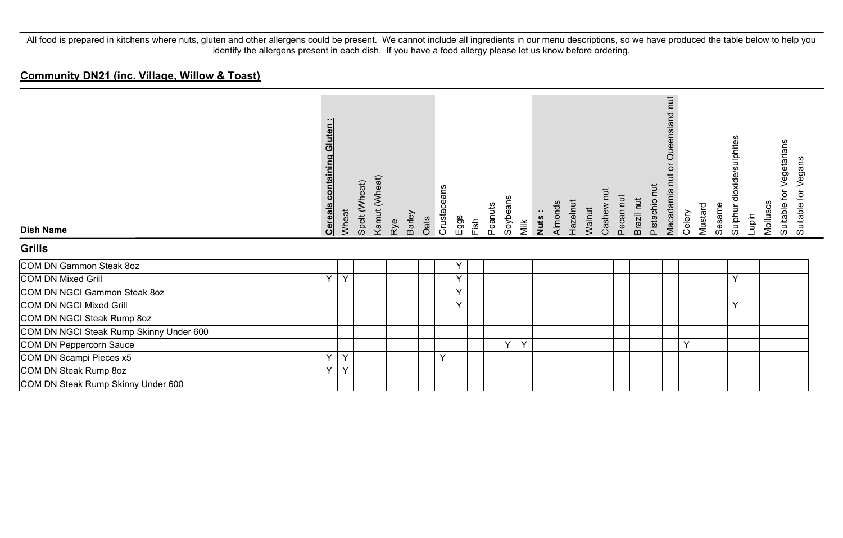| <b>Dish Name</b>                        | <b>Cereals containing Gluten:</b> | Wheat | Spelt (Wheat) | Kamut (Wheat) | Rye | <b>Barley</b> | Oats | Crustaceans | Eggs | Fish | Peanuts | Soybeans | Nuts:<br>Milk | Almonds | Hazelnut | Walnut | Cashew | Pecan nut | Brazil nut | Pistachio nut | nut<br>Queensland<br>Macadamia nu | Celery | Mustard | Sesame | Sulphur dioxide/sulphites | Lupin | Molluscs | Vegetarians<br>for<br>Suitable | Vegans<br>Suitable for |
|-----------------------------------------|-----------------------------------|-------|---------------|---------------|-----|---------------|------|-------------|------|------|---------|----------|---------------|---------|----------|--------|--------|-----------|------------|---------------|-----------------------------------|--------|---------|--------|---------------------------|-------|----------|--------------------------------|------------------------|
| Grills                                  |                                   |       |               |               |     |               |      |             |      |      |         |          |               |         |          |        |        |           |            |               |                                   |        |         |        |                           |       |          |                                |                        |
| COM DN Gammon Steak 8oz                 |                                   |       |               |               |     |               |      |             | Υ    |      |         |          |               |         |          |        |        |           |            |               |                                   |        |         |        |                           |       |          |                                |                        |
| COM DN Mixed Grill                      | Y                                 | Y     |               |               |     |               |      |             | Y    |      |         |          |               |         |          |        |        |           |            |               |                                   |        |         |        | Y                         |       |          |                                |                        |
| COM DN NGCI Gammon Steak 8oz            |                                   |       |               |               |     |               |      |             | Y    |      |         |          |               |         |          |        |        |           |            |               |                                   |        |         |        |                           |       |          |                                |                        |
| COM DN NGCI Mixed Grill                 |                                   |       |               |               |     |               |      |             | Y    |      |         |          |               |         |          |        |        |           |            |               |                                   |        |         |        | Y                         |       |          |                                |                        |
| COM DN NGCI Steak Rump 8oz              |                                   |       |               |               |     |               |      |             |      |      |         |          |               |         |          |        |        |           |            |               |                                   |        |         |        |                           |       |          |                                |                        |
| COM DN NGCI Steak Rump Skinny Under 600 |                                   |       |               |               |     |               |      |             |      |      |         |          |               |         |          |        |        |           |            |               |                                   |        |         |        |                           |       |          |                                |                        |
| COM DN Peppercorn Sauce                 |                                   |       |               |               |     |               |      |             |      |      |         | Y        | Y             |         |          |        |        |           |            |               |                                   | Y      |         |        |                           |       |          |                                |                        |
| COM DN Scampi Pieces x5                 | Y                                 | Y     |               |               |     |               |      | $\vee$      |      |      |         |          |               |         |          |        |        |           |            |               |                                   |        |         |        |                           |       |          |                                |                        |
| COM DN Steak Rump 8oz                   | Y                                 | Y     |               |               |     |               |      |             |      |      |         |          |               |         |          |        |        |           |            |               |                                   |        |         |        |                           |       |          |                                |                        |
| COM DN Steak Rump Skinny Under 600      |                                   |       |               |               |     |               |      |             |      |      |         |          |               |         |          |        |        |           |            |               |                                   |        |         |        |                           |       |          |                                |                        |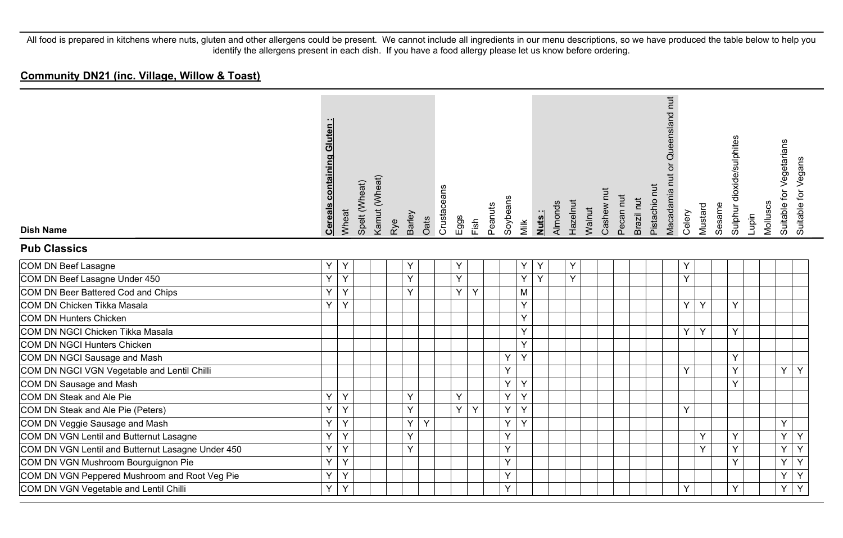| <b>Dish Name</b>                                  | containing Gluten<br><b>Cereals</b> | Wheat | Spelt (Wheat) | Kamut (Wheat) | Barley<br>Rye |   | Oats | Crustaceans | Eggs | Fish | Peanuts | Soybeans | Milk | Nuts: | Almonds | Hazelnut | Walnut | Cashew nut | Pecan nut | Brazil nut | Pistachio nut | Macadamia nut or Queensland nut | Celery | Mustard | Sesame | Sulphur dioxide/sulphites | Lupin | Molluscs | Suitable for Vegetarians | Suitable for Vegans |
|---------------------------------------------------|-------------------------------------|-------|---------------|---------------|---------------|---|------|-------------|------|------|---------|----------|------|-------|---------|----------|--------|------------|-----------|------------|---------------|---------------------------------|--------|---------|--------|---------------------------|-------|----------|--------------------------|---------------------|
| <b>Pub Classics</b>                               |                                     |       |               |               |               |   |      |             |      |      |         |          |      |       |         |          |        |            |           |            |               |                                 |        |         |        |                           |       |          |                          |                     |
| COM DN Beef Lasagne                               | Y.                                  | Y     |               |               | Y             |   |      |             | Υ    |      |         |          | Y    | Y     |         | Y        |        |            |           |            |               |                                 | Υ      |         |        |                           |       |          |                          |                     |
| COM DN Beef Lasagne Under 450                     | Y.                                  | Y     |               |               |               | Y |      |             | Y    |      |         |          | Y    | Y     |         | Y        |        |            |           |            |               |                                 | Y      |         |        |                           |       |          |                          |                     |
| COM DN Beer Battered Cod and Chips                | Y                                   | Y     |               |               | Y             |   |      |             | Y    | Y    |         |          | M    |       |         |          |        |            |           |            |               |                                 |        |         |        |                           |       |          |                          |                     |
| COM DN Chicken Tikka Masala                       | Y.                                  | Y     |               |               |               |   |      |             |      |      |         |          | Y    |       |         |          |        |            |           |            |               |                                 | Y      | Y       |        | Y                         |       |          |                          |                     |
| COM DN Hunters Chicken                            |                                     |       |               |               |               |   |      |             |      |      |         |          | Y    |       |         |          |        |            |           |            |               |                                 |        |         |        |                           |       |          |                          |                     |
| COM DN NGCI Chicken Tikka Masala                  |                                     |       |               |               |               |   |      |             |      |      |         |          | Y    |       |         |          |        |            |           |            |               |                                 | Y      | Y       |        | Y                         |       |          |                          |                     |
| COM DN NGCI Hunters Chicken                       |                                     |       |               |               |               |   |      |             |      |      |         |          | Y    |       |         |          |        |            |           |            |               |                                 |        |         |        |                           |       |          |                          |                     |
| COM DN NGCI Sausage and Mash                      |                                     |       |               |               |               |   |      |             |      |      |         | Y        | Y    |       |         |          |        |            |           |            |               |                                 |        |         |        | Y                         |       |          |                          |                     |
| COM DN NGCI VGN Vegetable and Lentil Chilli       |                                     |       |               |               |               |   |      |             |      |      |         | Y        |      |       |         |          |        |            |           |            |               |                                 | Y      |         |        | Y                         |       |          | Y                        | Y                   |
| COM DN Sausage and Mash                           |                                     |       |               |               |               |   |      |             |      |      |         | Y        | Y    |       |         |          |        |            |           |            |               |                                 |        |         |        | Y                         |       |          |                          |                     |
| COM DN Steak and Ale Pie                          | Y                                   | Y     |               |               | Y             |   |      |             | Y    |      |         | Y        | Y    |       |         |          |        |            |           |            |               |                                 |        |         |        |                           |       |          |                          |                     |
| COM DN Steak and Ale Pie (Peters)                 | Y                                   | Y     |               |               |               | Y |      |             | Y    | Y    |         | Υ        | Y    |       |         |          |        |            |           |            |               |                                 | Y      |         |        |                           |       |          |                          |                     |
| COM DN Veggie Sausage and Mash                    | Y                                   | Y     |               |               | Y             |   | Y    |             |      |      |         | Y        | Y    |       |         |          |        |            |           |            |               |                                 |        |         |        |                           |       |          | Y                        |                     |
| COM DN VGN Lentil and Butternut Lasagne           | Y                                   | Y     |               |               | Y             |   |      |             |      |      |         | Y        |      |       |         |          |        |            |           |            |               |                                 |        | Y       |        | Y                         |       |          | Y                        | Y                   |
| COM DN VGN Lentil and Butternut Lasagne Under 450 | Y                                   | Y     |               |               | Y             |   |      |             |      |      |         | Y        |      |       |         |          |        |            |           |            |               |                                 |        | Y       |        | Y                         |       |          | Ý                        | $\overline{Y}$      |
| COM DN VGN Mushroom Bourguignon Pie               | Y                                   | Y     |               |               |               |   |      |             |      |      |         | Y        |      |       |         |          |        |            |           |            |               |                                 |        |         |        | Y                         |       |          | Ÿ                        | Y                   |
| COM DN VGN Peppered Mushroom and Root Veg Pie     | Y                                   | Y     |               |               |               |   |      |             |      |      |         | Y        |      |       |         |          |        |            |           |            |               |                                 |        |         |        |                           |       |          | Υ                        | Υ                   |
| COM DN VGN Vegetable and Lentil Chilli            | Y.                                  | Y     |               |               |               |   |      |             |      |      |         | Y        |      |       |         |          |        |            |           |            |               |                                 | Y      |         |        | Y                         |       |          | Y                        | $\overline{Y}$      |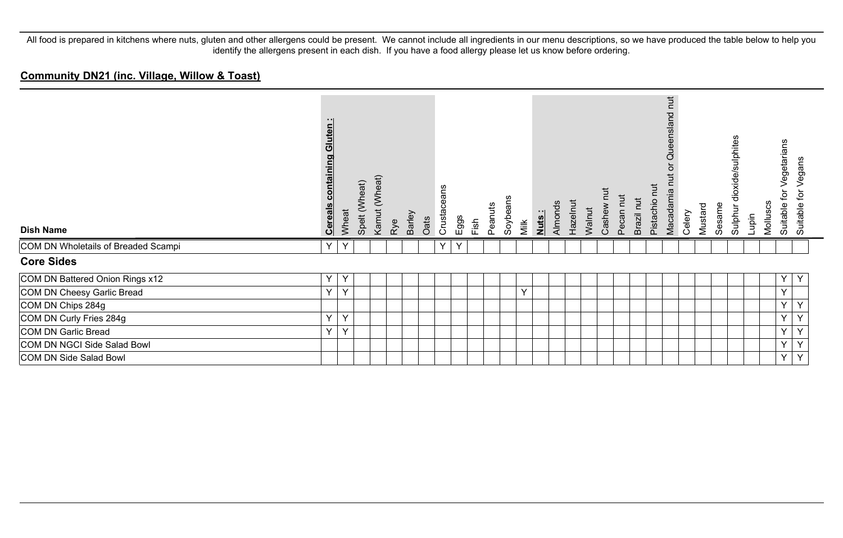| <b>Dish Name</b>                    | Gluten:<br>containing<br><b>Cereals</b> | Wheat | Spelt (Wheat) | Kamut (Wheat) | Rye | Barley | Oats | Crustaceans | Eggs | Fish | Peanuts | Soybeans | Milk | Nuts: | Almonds | Hazelnut | Walnut | Ĕ<br>Cashew | Pecan nut | Brazil nut | <b>Tut</b><br>Pistachio | nut<br>p<br><b>Que</b><br>Macadamia | Celery | Mustard | Sesame | dioxide/sulphites<br>Sulphur | Lupin | Molluscs | egetarians<br>ğ<br>Suitable | Vegans<br>ğ<br>Suitable |
|-------------------------------------|-----------------------------------------|-------|---------------|---------------|-----|--------|------|-------------|------|------|---------|----------|------|-------|---------|----------|--------|-------------|-----------|------------|-------------------------|-------------------------------------|--------|---------|--------|------------------------------|-------|----------|-----------------------------|-------------------------|
| COM DN Wholetails of Breaded Scampi | Y                                       | Y     |               |               |     |        |      | Y           | Y    |      |         |          |      |       |         |          |        |             |           |            |                         |                                     |        |         |        |                              |       |          |                             |                         |
| <b>Core Sides</b>                   |                                         |       |               |               |     |        |      |             |      |      |         |          |      |       |         |          |        |             |           |            |                         |                                     |        |         |        |                              |       |          |                             |                         |
| COM DN Battered Onion Rings x12     | Υ                                       | Y     |               |               |     |        |      |             |      |      |         |          |      |       |         |          |        |             |           |            |                         |                                     |        |         |        |                              |       |          | Y.                          | Y                       |
| COM DN Cheesy Garlic Bread          | Y                                       | Y     |               |               |     |        |      |             |      |      |         |          | Y    |       |         |          |        |             |           |            |                         |                                     |        |         |        |                              |       |          | Y                           |                         |
| COM DN Chips 284g                   |                                         |       |               |               |     |        |      |             |      |      |         |          |      |       |         |          |        |             |           |            |                         |                                     |        |         |        |                              |       |          | Y.                          | Y                       |
| COM DN Curly Fries 284g             | Y                                       | Y     |               |               |     |        |      |             |      |      |         |          |      |       |         |          |        |             |           |            |                         |                                     |        |         |        |                              |       |          | Y                           | Y                       |
| COM DN Garlic Bread                 | Y                                       | Y     |               |               |     |        |      |             |      |      |         |          |      |       |         |          |        |             |           |            |                         |                                     |        |         |        |                              |       |          | Y                           | Y                       |
| COM DN NGCI Side Salad Bowl         |                                         |       |               |               |     |        |      |             |      |      |         |          |      |       |         |          |        |             |           |            |                         |                                     |        |         |        |                              |       |          | Y.                          | Y                       |
| COM DN Side Salad Bowl              |                                         |       |               |               |     |        |      |             |      |      |         |          |      |       |         |          |        |             |           |            |                         |                                     |        |         |        |                              |       |          | Y                           | Y                       |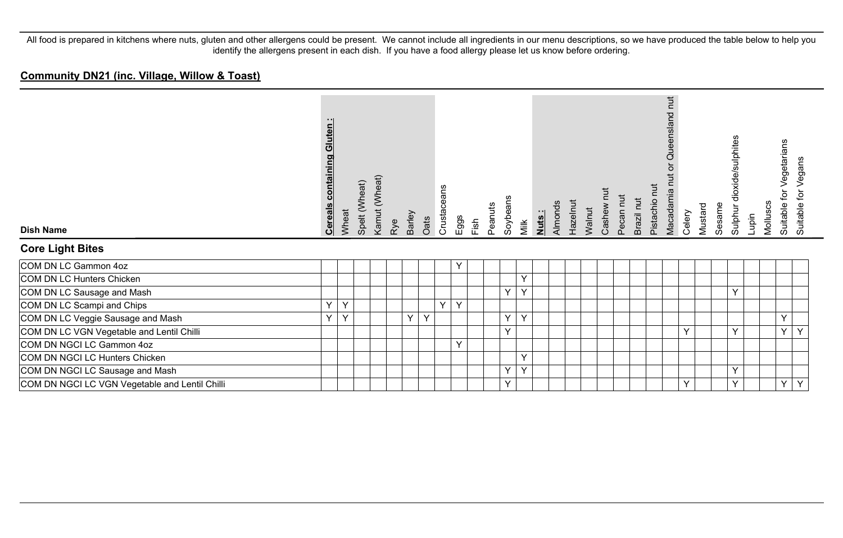| <b>Dish Name</b><br><b>Core Light Bites</b>    | Gluten<br><b>Cereals containing</b> | Wheat | Spelt (Wheat) | Kamut (Wheat) | Rye | Barley | Oats | Crustaceans  | $E$ ggs | Fish | Peanuts | Soybeans<br>Milk | Nuts: | Almonds | Hazelnut | Walnut | Cashew | Pecan nut | Brazil nut | Pistachio nut | <b>Tut</b><br>Queensland<br>Macadamia nu | Celery | Mustard | Sesame | Sulphur dioxide/sulphites | Lupin | Molluscs | Vegetarians<br>tor<br>Suitable | Vegans<br>Suitable for |
|------------------------------------------------|-------------------------------------|-------|---------------|---------------|-----|--------|------|--------------|---------|------|---------|------------------|-------|---------|----------|--------|--------|-----------|------------|---------------|------------------------------------------|--------|---------|--------|---------------------------|-------|----------|--------------------------------|------------------------|
| COM DN LC Gammon 4oz                           |                                     |       |               |               |     |        |      |              | Υ       |      |         |                  |       |         |          |        |        |           |            |               |                                          |        |         |        |                           |       |          |                                |                        |
| COM DN LC Hunters Chicken                      |                                     |       |               |               |     |        |      |              |         |      |         | Y                |       |         |          |        |        |           |            |               |                                          |        |         |        |                           |       |          |                                |                        |
| COM DN LC Sausage and Mash                     |                                     |       |               |               |     |        |      |              |         |      |         | Y<br>Y           |       |         |          |        |        |           |            |               |                                          |        |         |        | Y                         |       |          |                                |                        |
| COM DN LC Scampi and Chips                     | $\checkmark$                        | Υ     |               |               |     |        |      | $\checkmark$ | Υ       |      |         |                  |       |         |          |        |        |           |            |               |                                          |        |         |        |                           |       |          |                                |                        |
| COM DN LC Veggie Sausage and Mash              | $\checkmark$                        | Y     |               |               |     | Y      | Y    |              |         |      |         | Y<br>Y           |       |         |          |        |        |           |            |               |                                          |        |         |        |                           |       |          | $\vee$                         |                        |
| COM DN LC VGN Vegetable and Lentil Chilli      |                                     |       |               |               |     |        |      |              |         |      |         | $\checkmark$     |       |         |          |        |        |           |            |               |                                          | Y      |         |        | Y                         |       |          | $\checkmark$                   |                        |
| COM DN NGCI LC Gammon 4oz                      |                                     |       |               |               |     |        |      |              | Y       |      |         |                  |       |         |          |        |        |           |            |               |                                          |        |         |        |                           |       |          |                                |                        |
| COM DN NGCI LC Hunters Chicken                 |                                     |       |               |               |     |        |      |              |         |      |         | Y                |       |         |          |        |        |           |            |               |                                          |        |         |        |                           |       |          |                                |                        |
| COM DN NGCI LC Sausage and Mash                |                                     |       |               |               |     |        |      |              |         |      |         | Y<br>Y           |       |         |          |        |        |           |            |               |                                          |        |         |        | Y                         |       |          |                                |                        |
| COM DN NGCI LC VGN Vegetable and Lentil Chilli |                                     |       |               |               |     |        |      |              |         |      |         | Y                |       |         |          |        |        |           |            |               |                                          | Y      |         |        | Y                         |       |          | Y                              | $\checkmark$           |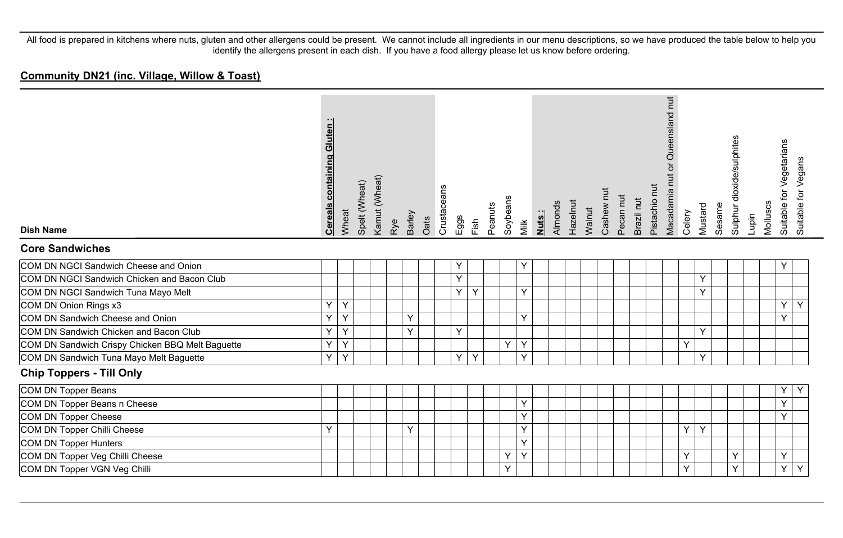| <b>Dish Name</b><br><b>Core Sandwiches</b>       | <b>Cereals containing Gluten:</b> | Wheat | Spelt (Wheat) | Kamut (Wheat) | Rye | Barley | Oats | Crustaceans | $E$ ggs | Fish | Peanuts | Soybeans | Milk | Almonds<br>Nuts: | Hazelnut | Walnut | Cashew nut | Pecan nut | Brazil nut | Pistachio nut | Queensland nut<br>ð<br>Macadamia nut | Celery | Mustard | Sesame | Sulphur dioxide/sulphites | Lupin | Molluscs | for Vegetarians<br>Suitable 1 | Suitable for Vegans |
|--------------------------------------------------|-----------------------------------|-------|---------------|---------------|-----|--------|------|-------------|---------|------|---------|----------|------|------------------|----------|--------|------------|-----------|------------|---------------|--------------------------------------|--------|---------|--------|---------------------------|-------|----------|-------------------------------|---------------------|
| COM DN NGCI Sandwich Cheese and Onion            |                                   |       |               |               |     |        |      |             |         |      |         |          | Y    |                  |          |        |            |           |            |               |                                      |        |         |        |                           |       |          | Υ                             |                     |
| COM DN NGCI Sandwich Chicken and Bacon Club      |                                   |       |               |               |     |        |      |             | Y       |      |         |          |      |                  |          |        |            |           |            |               |                                      |        | Y       |        |                           |       |          |                               |                     |
| COM DN NGCI Sandwich Tuna Mayo Melt              |                                   |       |               |               |     |        |      |             | Y       | Y    |         |          | Y    |                  |          |        |            |           |            |               |                                      |        | Ÿ       |        |                           |       |          |                               |                     |
| COM DN Onion Rings x3                            | Y                                 | Y     |               |               |     |        |      |             |         |      |         |          |      |                  |          |        |            |           |            |               |                                      |        |         |        |                           |       |          | Υ                             | Y                   |
| COM DN Sandwich Cheese and Onion                 | Y                                 | Y     |               |               |     | Y      |      |             |         |      |         |          | Y    |                  |          |        |            |           |            |               |                                      |        |         |        |                           |       |          | Y                             |                     |
| COM DN Sandwich Chicken and Bacon Club           | Υ                                 | Ÿ     |               |               |     | Y      |      |             | Y       |      |         |          |      |                  |          |        |            |           |            |               |                                      |        | Y       |        |                           |       |          |                               |                     |
| COM DN Sandwich Crispy Chicken BBQ Melt Baguette | Υ                                 | Y     |               |               |     |        |      |             |         |      |         | Y        | Y    |                  |          |        |            |           |            |               |                                      | Y      |         |        |                           |       |          |                               |                     |
| COM DN Sandwich Tuna Mayo Melt Baguette          | Y                                 | Y     |               |               |     |        |      |             | Y       | Y    |         |          | Y    |                  |          |        |            |           |            |               |                                      |        | Y       |        |                           |       |          |                               |                     |
| <b>Chip Toppers - Till Only</b>                  |                                   |       |               |               |     |        |      |             |         |      |         |          |      |                  |          |        |            |           |            |               |                                      |        |         |        |                           |       |          |                               |                     |
| COM DN Topper Beans                              |                                   |       |               |               |     |        |      |             |         |      |         |          |      |                  |          |        |            |           |            |               |                                      |        |         |        |                           |       |          | Υ                             | Y                   |
| COM DN Topper Beans n Cheese                     |                                   |       |               |               |     |        |      |             |         |      |         |          | Υ    |                  |          |        |            |           |            |               |                                      |        |         |        |                           |       |          | Υ                             |                     |
| COM DN Topper Cheese                             |                                   |       |               |               |     |        |      |             |         |      |         |          | Y    |                  |          |        |            |           |            |               |                                      |        |         |        |                           |       |          | Υ                             |                     |
| COM DN Topper Chilli Cheese                      | Υ                                 |       |               |               |     | Υ      |      |             |         |      |         |          | Υ    |                  |          |        |            |           |            |               |                                      | Y      | Y       |        |                           |       |          |                               |                     |
| COM DN Topper Hunters                            |                                   |       |               |               |     |        |      |             |         |      |         |          | Y    |                  |          |        |            |           |            |               |                                      |        |         |        |                           |       |          |                               |                     |
| COM DN Topper Veg Chilli Cheese                  |                                   |       |               |               |     |        |      |             |         |      |         | Υ        | Y    |                  |          |        |            |           |            |               |                                      | Y      |         |        | Y                         |       |          | Y                             |                     |
| COM DN Topper VGN Veg Chilli                     |                                   |       |               |               |     |        |      |             |         |      |         | Y        |      |                  |          |        |            |           |            |               |                                      | Y      |         |        | Y                         |       |          | Y                             | Y                   |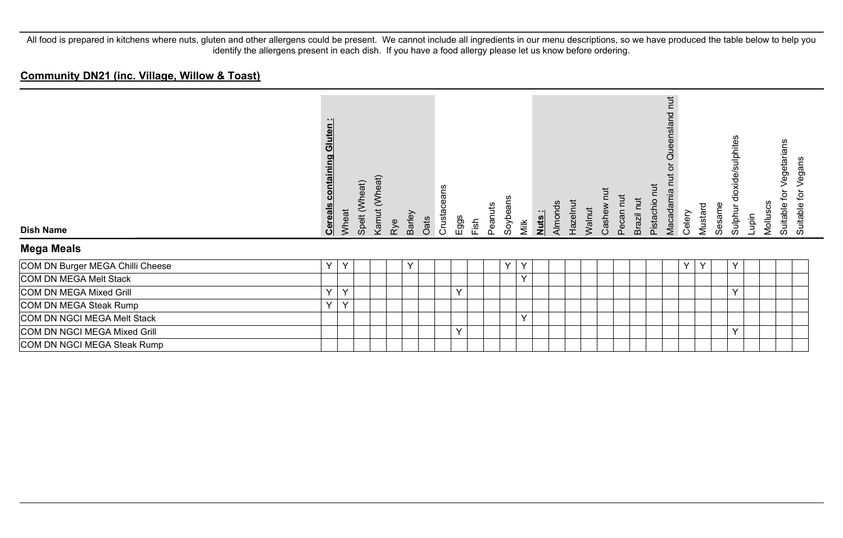| <b>Dish Name</b>                 | Gluten:<br>containing<br><b>Cereals</b> | Wheat | Spelt (Wheat) | Kamut (Wheat) | Rye | <b>Barley</b> | Oats | Crustaceans | Eggs         | Fish | Peanuts | Soybeans | Milk | Nuts: | Almonds | Hazelnut | Walnut | Cashew I | Pecan nut | Brazil nut | <b>Tut</b><br>Pistachio | $\overline{a}$<br>P<br>ensla<br>$\breve{\vec{c}}$<br>Macadamia | Celery | Mustard | Sesame | dioxide/sulphites<br>Sulphur | Lupin | Molluscs | Vegetarians<br>ğ<br>Suitable | Vegans<br>ğ<br>Suitable |
|----------------------------------|-----------------------------------------|-------|---------------|---------------|-----|---------------|------|-------------|--------------|------|---------|----------|------|-------|---------|----------|--------|----------|-----------|------------|-------------------------|----------------------------------------------------------------|--------|---------|--------|------------------------------|-------|----------|------------------------------|-------------------------|
| <b>Mega Meals</b>                |                                         |       |               |               |     |               |      |             |              |      |         |          |      |       |         |          |        |          |           |            |                         |                                                                |        |         |        |                              |       |          |                              |                         |
| COM DN Burger MEGA Chilli Cheese | Y                                       | Y     |               |               |     | v             |      |             |              |      |         | Y        | Υ    |       |         |          |        |          |           |            |                         |                                                                | v      |         |        | Y                            |       |          |                              |                         |
| COM DN MEGA Melt Stack           |                                         |       |               |               |     |               |      |             |              |      |         |          | Y    |       |         |          |        |          |           |            |                         |                                                                |        |         |        |                              |       |          |                              |                         |
| COM DN MEGA Mixed Grill          | Y                                       | Y     |               |               |     |               |      |             | $\checkmark$ |      |         |          |      |       |         |          |        |          |           |            |                         |                                                                |        |         |        | Y                            |       |          |                              |                         |
| COM DN MEGA Steak Rump           | Y                                       | Y     |               |               |     |               |      |             |              |      |         |          |      |       |         |          |        |          |           |            |                         |                                                                |        |         |        |                              |       |          |                              |                         |
| COM DN NGCI MEGA Melt Stack      |                                         |       |               |               |     |               |      |             |              |      |         |          | Y    |       |         |          |        |          |           |            |                         |                                                                |        |         |        |                              |       |          |                              |                         |
| COM DN NGCI MEGA Mixed Grill     |                                         |       |               |               |     |               |      |             | $\checkmark$ |      |         |          |      |       |         |          |        |          |           |            |                         |                                                                |        |         |        | Y                            |       |          |                              |                         |
| COM DN NGCI MEGA Steak Rump      |                                         |       |               |               |     |               |      |             |              |      |         |          |      |       |         |          |        |          |           |            |                         |                                                                |        |         |        |                              |       |          |                              |                         |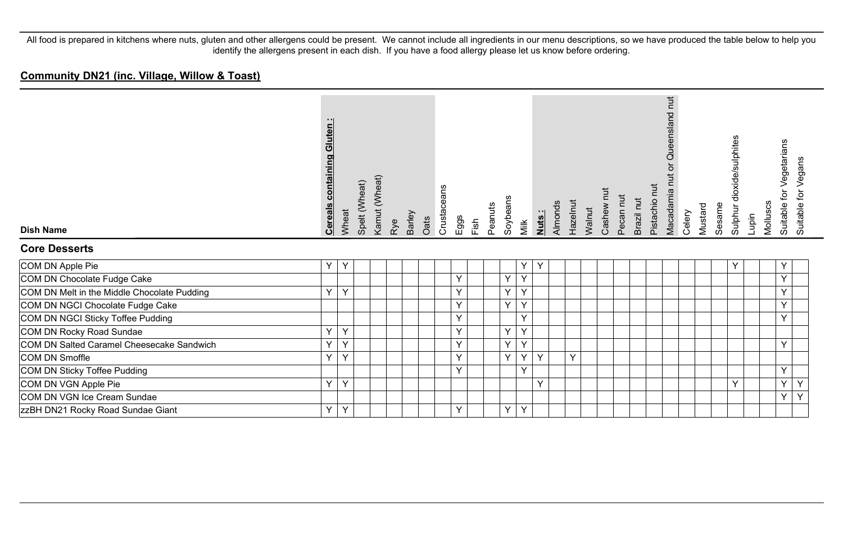| <b>Dish Name</b>                            | <b>Cereals containing Gluten:</b> | Wheat | Spelt (Wheat) | Kamut (Wheat) | Rye | Barley | Oats | Crustaceans | Eggs | Fish | Peanuts | Soybeans | Milk         | Nuts: | Almonds | Hazelnut | Walnut | Cashew | Pecan nut | Brazil nut | Pistachio nut | $\overline{a}$<br>Queensland<br>ð<br>Macadamia nut | Celery | Mustard | Sesame | Sulphur dioxide/sulphites | Lupin | Molluscs | Vegetarians<br>ίþ<br>Suitable | Suitable for Vegans |
|---------------------------------------------|-----------------------------------|-------|---------------|---------------|-----|--------|------|-------------|------|------|---------|----------|--------------|-------|---------|----------|--------|--------|-----------|------------|---------------|----------------------------------------------------|--------|---------|--------|---------------------------|-------|----------|-------------------------------|---------------------|
| <b>Core Desserts</b>                        |                                   |       |               |               |     |        |      |             |      |      |         |          |              |       |         |          |        |        |           |            |               |                                                    |        |         |        |                           |       |          |                               |                     |
| COM DN Apple Pie                            | $\checkmark$                      | Y     |               |               |     |        |      |             |      |      |         |          | Y            | Y     |         |          |        |        |           |            |               |                                                    |        |         |        | v                         |       |          | Υ                             |                     |
| COM DN Chocolate Fudge Cake                 |                                   |       |               |               |     |        |      |             | Y    |      |         | Y        | $\checkmark$ |       |         |          |        |        |           |            |               |                                                    |        |         |        |                           |       |          | Y                             |                     |
| COM DN Melt in the Middle Chocolate Pudding | $\checkmark$                      | Y     |               |               |     |        |      |             | Y    |      |         | Y        | $\vee$       |       |         |          |        |        |           |            |               |                                                    |        |         |        |                           |       |          | Y                             |                     |
| COM DN NGCI Chocolate Fudge Cake            |                                   |       |               |               |     |        |      |             | Y    |      |         | Y        | $\checkmark$ |       |         |          |        |        |           |            |               |                                                    |        |         |        |                           |       |          | Y                             |                     |
| COM DN NGCI Sticky Toffee Pudding           |                                   |       |               |               |     |        |      |             | Υ    |      |         |          | $\checkmark$ |       |         |          |        |        |           |            |               |                                                    |        |         |        |                           |       |          | Y                             |                     |
| COM DN Rocky Road Sundae                    | $\checkmark$                      | Ý     |               |               |     |        |      |             | Y    |      |         | Y        | $\checkmark$ |       |         |          |        |        |           |            |               |                                                    |        |         |        |                           |       |          |                               |                     |
| COM DN Salted Caramel Cheesecake Sandwich   | v                                 | Y     |               |               |     |        |      |             | Y    |      |         | Y        | $\checkmark$ |       |         |          |        |        |           |            |               |                                                    |        |         |        |                           |       |          | Y                             |                     |
| COM DN Smoffle                              | v                                 | Υ     |               |               |     |        |      |             | Y    |      |         | Y        | Y            | Y     |         | Y        |        |        |           |            |               |                                                    |        |         |        |                           |       |          |                               |                     |
| COM DN Sticky Toffee Pudding                |                                   |       |               |               |     |        |      |             | Y    |      |         |          | $\checkmark$ |       |         |          |        |        |           |            |               |                                                    |        |         |        |                           |       |          | Y                             |                     |
| COM DN VGN Apple Pie                        | $\checkmark$                      | Υ     |               |               |     |        |      |             |      |      |         |          |              | Y     |         |          |        |        |           |            |               |                                                    |        |         |        | v                         |       |          | Y                             | Y                   |
| COM DN VGN Ice Cream Sundae                 |                                   |       |               |               |     |        |      |             |      |      |         |          |              |       |         |          |        |        |           |            |               |                                                    |        |         |        |                           |       |          | Y                             | Y                   |
| <b>zzBH DN21 Rocky Road Sundae Giant</b>    | Υ                                 | Υ     |               |               |     |        |      |             | Υ    |      |         | Y        | Y            |       |         |          |        |        |           |            |               |                                                    |        |         |        |                           |       |          |                               |                     |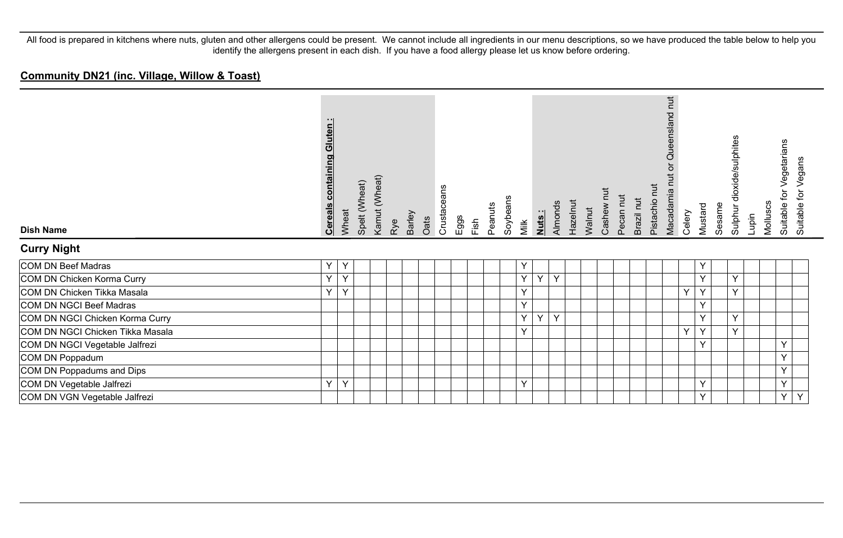| <b>Dish Name</b>                 | <b>Cereals containing Gluten:</b> | Wheat        | Spelt (Wheat) | Kamut (Wheat) | Rye | Barley | Oats | Crustaceans | $E$ ggs | Fish | Peanuts | Soybeans | Milk | Nuts: | Almonds | Hazelnut<br>Walnut | Pecan nut<br>Cashew | Brazil nut | Pistachio nut | $\overline{\mathbf{H}}$<br>Queensland<br>Macadamia nu | Celery | Mustard | Sesame | Sulphur dioxide/sulphites | Lupin | Molluscs | Vegetarians<br>đ<br>Suitable 1 | Vegans<br>Suitable for \ |
|----------------------------------|-----------------------------------|--------------|---------------|---------------|-----|--------|------|-------------|---------|------|---------|----------|------|-------|---------|--------------------|---------------------|------------|---------------|-------------------------------------------------------|--------|---------|--------|---------------------------|-------|----------|--------------------------------|--------------------------|
| <b>Curry Night</b>               |                                   |              |               |               |     |        |      |             |         |      |         |          |      |       |         |                    |                     |            |               |                                                       |        |         |        |                           |       |          |                                |                          |
| COM DN Beef Madras               | Y                                 | $\checkmark$ |               |               |     |        |      |             |         |      |         |          | Y    |       |         |                    |                     |            |               |                                                       |        | Υ       |        |                           |       |          |                                |                          |
| COM DN Chicken Korma Curry       | Y                                 | $\checkmark$ |               |               |     |        |      |             |         |      |         |          | Y    | Y     | $\vee$  |                    |                     |            |               |                                                       |        | Y       |        | Y                         |       |          |                                |                          |
| COM DN Chicken Tikka Masala      | Y                                 | $\checkmark$ |               |               |     |        |      |             |         |      |         |          | Y    |       |         |                    |                     |            |               |                                                       | Y      | Y       |        | Y                         |       |          |                                |                          |
| COM DN NGCI Beef Madras          |                                   |              |               |               |     |        |      |             |         |      |         |          | Y    |       |         |                    |                     |            |               |                                                       |        | Υ       |        |                           |       |          |                                |                          |
| COM DN NGCI Chicken Korma Curry  |                                   |              |               |               |     |        |      |             |         |      |         |          | Y    | Y     | Y       |                    |                     |            |               |                                                       |        | Y       |        | Y                         |       |          |                                |                          |
| COM DN NGCI Chicken Tikka Masala |                                   |              |               |               |     |        |      |             |         |      |         |          | Y    |       |         |                    |                     |            |               |                                                       | Y      | Y       |        | Y                         |       |          |                                |                          |
| COM DN NGCI Vegetable Jalfrezi   |                                   |              |               |               |     |        |      |             |         |      |         |          |      |       |         |                    |                     |            |               |                                                       |        | Y       |        |                           |       |          | $\checkmark$                   |                          |
| COM DN Poppadum                  |                                   |              |               |               |     |        |      |             |         |      |         |          |      |       |         |                    |                     |            |               |                                                       |        |         |        |                           |       |          | $\vee$                         |                          |
| COM DN Poppadums and Dips        |                                   |              |               |               |     |        |      |             |         |      |         |          |      |       |         |                    |                     |            |               |                                                       |        |         |        |                           |       |          | $\checkmark$                   |                          |
| COM DN Vegetable Jalfrezi        | Y                                 | $\checkmark$ |               |               |     |        |      |             |         |      |         |          | Y    |       |         |                    |                     |            |               |                                                       |        | Υ       |        |                           |       |          | Y                              |                          |
| COM DN VGN Vegetable Jalfrezi    |                                   |              |               |               |     |        |      |             |         |      |         |          |      |       |         |                    |                     |            |               |                                                       |        | Y       |        |                           |       |          | Y                              | Y                        |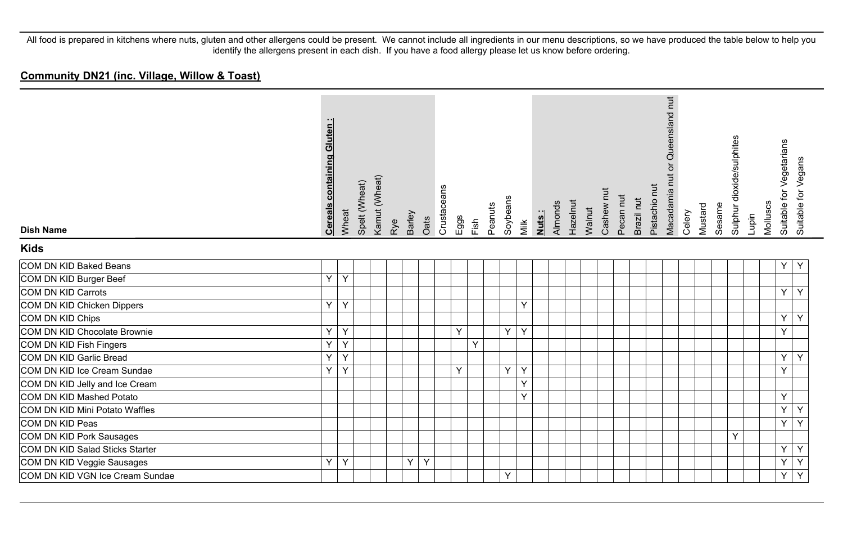| <b>Dish Name</b><br><b>Kids</b> | containing Gluten:<br><b>Cereals</b> | Wheat        | Spelt (Wheat) | Kamut (Wheat) | Rye | Barley | Oats | Crustaceans | Eggs | Fish | Peanuts | Soybeans | Milk | Almonds<br>Nuts: | Hazelnut | Walnut | Cashew nut | Pecan nut | Brazil nut | Pistachio nut | Macadamia nut or Queensland nut | Celery | Mustard | Sesame | Sulphur dioxide/sulphites | Lupin | Molluscs | Suitable for Vegetarians | Suitable for Vegans |
|---------------------------------|--------------------------------------|--------------|---------------|---------------|-----|--------|------|-------------|------|------|---------|----------|------|------------------|----------|--------|------------|-----------|------------|---------------|---------------------------------|--------|---------|--------|---------------------------|-------|----------|--------------------------|---------------------|
| COM DN KID Baked Beans          |                                      |              |               |               |     |        |      |             |      |      |         |          |      |                  |          |        |            |           |            |               |                                 |        |         |        |                           |       |          | Y                        | Y                   |
| COM DN KID Burger Beef          | Y.                                   | $\mathsf{Y}$ |               |               |     |        |      |             |      |      |         |          |      |                  |          |        |            |           |            |               |                                 |        |         |        |                           |       |          |                          |                     |
| COM DN KID Carrots              |                                      |              |               |               |     |        |      |             |      |      |         |          |      |                  |          |        |            |           |            |               |                                 |        |         |        |                           |       |          | Y                        | Y                   |
| COM DN KID Chicken Dippers      | Y                                    | Y            |               |               |     |        |      |             |      |      |         |          | Y    |                  |          |        |            |           |            |               |                                 |        |         |        |                           |       |          |                          |                     |
| COM DN KID Chips                |                                      |              |               |               |     |        |      |             |      |      |         |          |      |                  |          |        |            |           |            |               |                                 |        |         |        |                           |       |          | Y                        | Y                   |
| COM DN KID Chocolate Brownie    | Y.                                   | Y            |               |               |     |        |      |             | Y    |      |         | Y        | Y    |                  |          |        |            |           |            |               |                                 |        |         |        |                           |       |          | Y                        |                     |
| COM DN KID Fish Fingers         | Y                                    | Y            |               |               |     |        |      |             |      | Y    |         |          |      |                  |          |        |            |           |            |               |                                 |        |         |        |                           |       |          |                          |                     |
| COM DN KID Garlic Bread         | Y                                    | Y            |               |               |     |        |      |             |      |      |         |          |      |                  |          |        |            |           |            |               |                                 |        |         |        |                           |       |          | Y                        | Y                   |
| COM DN KID Ice Cream Sundae     | Y.                                   | Y            |               |               |     |        |      |             | Y    |      |         | Y        | Y    |                  |          |        |            |           |            |               |                                 |        |         |        |                           |       |          | Y                        |                     |
| COM DN KID Jelly and Ice Cream  |                                      |              |               |               |     |        |      |             |      |      |         |          | Y    |                  |          |        |            |           |            |               |                                 |        |         |        |                           |       |          |                          |                     |
| COM DN KID Mashed Potato        |                                      |              |               |               |     |        |      |             |      |      |         |          | Y    |                  |          |        |            |           |            |               |                                 |        |         |        |                           |       |          | Y                        |                     |
| COM DN KID Mini Potato Waffles  |                                      |              |               |               |     |        |      |             |      |      |         |          |      |                  |          |        |            |           |            |               |                                 |        |         |        |                           |       |          | Y                        | Y                   |
| COM DN KID Peas                 |                                      |              |               |               |     |        |      |             |      |      |         |          |      |                  |          |        |            |           |            |               |                                 |        |         |        |                           |       |          | Y                        | Y                   |
| <b>COM DN KID Pork Sausages</b> |                                      |              |               |               |     |        |      |             |      |      |         |          |      |                  |          |        |            |           |            |               |                                 |        |         |        | Y                         |       |          |                          |                     |
| COM DN KID Salad Sticks Starter |                                      |              |               |               |     |        |      |             |      |      |         |          |      |                  |          |        |            |           |            |               |                                 |        |         |        |                           |       |          | Y                        | Y                   |
| COM DN KID Veggie Sausages      | Y.                                   | Y            |               |               |     | Y.     | Y    |             |      |      |         |          |      |                  |          |        |            |           |            |               |                                 |        |         |        |                           |       |          | Y                        | Y                   |
| COM DN KID VGN Ice Cream Sundae |                                      |              |               |               |     |        |      |             |      |      |         | Y        |      |                  |          |        |            |           |            |               |                                 |        |         |        |                           |       |          | Y                        | Y                   |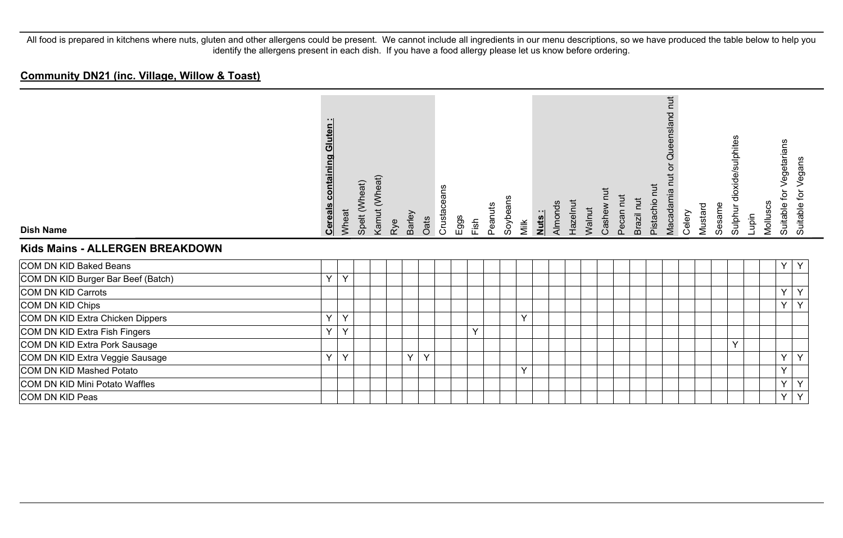| <b>Dish Name</b><br>Kids Mains - ALLERGEN BREAKDOWN | containing Gluten<br><b>Cereals</b> | Wheat        | Spelt (Wheat) | Kamut (Wheat) | Rye | Barley | Oats | Crustaceans | Eggs | Fish | Peanuts | Soybeans<br>Milk | Nuts: | Almonds | Hazelnut | Walnut | Cashew nut | Pecan nut | Brazil nut | Pistachio nut | nut<br>Queensland<br>$\overline{\sigma}$<br>Macadamia nut | Celery | Mustard | Sesame | dioxide/sulphites<br>Sulphur | Lupin | Molluscs | Vegetarians<br>.<br>نه<br>Suitable for \<br>Suitable <sup>+</sup> | Vegans |
|-----------------------------------------------------|-------------------------------------|--------------|---------------|---------------|-----|--------|------|-------------|------|------|---------|------------------|-------|---------|----------|--------|------------|-----------|------------|---------------|-----------------------------------------------------------|--------|---------|--------|------------------------------|-------|----------|-------------------------------------------------------------------|--------|
| COM DN KID Baked Beans                              |                                     |              |               |               |     |        |      |             |      |      |         |                  |       |         |          |        |            |           |            |               |                                                           |        |         |        |                              |       |          | Y<br>Y                                                            |        |
| COM DN KID Burger Bar Beef (Batch)                  | $\vee$                              | $\checkmark$ |               |               |     |        |      |             |      |      |         |                  |       |         |          |        |            |           |            |               |                                                           |        |         |        |                              |       |          |                                                                   |        |
| COM DN KID Carrots                                  |                                     |              |               |               |     |        |      |             |      |      |         |                  |       |         |          |        |            |           |            |               |                                                           |        |         |        |                              |       |          | Y<br>Y                                                            |        |
| COM DN KID Chips                                    |                                     |              |               |               |     |        |      |             |      |      |         |                  |       |         |          |        |            |           |            |               |                                                           |        |         |        |                              |       |          | $\checkmark$<br>Y                                                 |        |
| COM DN KID Extra Chicken Dippers                    | $\vee$                              | Y            |               |               |     |        |      |             |      |      |         | Y                |       |         |          |        |            |           |            |               |                                                           |        |         |        |                              |       |          |                                                                   |        |
| COM DN KID Extra Fish Fingers                       | $\checkmark$                        | Y            |               |               |     |        |      |             |      | Y    |         |                  |       |         |          |        |            |           |            |               |                                                           |        |         |        |                              |       |          |                                                                   |        |
| COM DN KID Extra Pork Sausage                       |                                     |              |               |               |     |        |      |             |      |      |         |                  |       |         |          |        |            |           |            |               |                                                           |        |         |        | Y                            |       |          |                                                                   |        |
| COM DN KID Extra Veggie Sausage                     | Y                                   | Y            |               |               |     | Y      | Y    |             |      |      |         |                  |       |         |          |        |            |           |            |               |                                                           |        |         |        |                              |       |          | Y<br>Y                                                            |        |
| COM DN KID Mashed Potato                            |                                     |              |               |               |     |        |      |             |      |      |         | Y                |       |         |          |        |            |           |            |               |                                                           |        |         |        |                              |       |          | $\checkmark$                                                      |        |
| COM DN KID Mini Potato Waffles                      |                                     |              |               |               |     |        |      |             |      |      |         |                  |       |         |          |        |            |           |            |               |                                                           |        |         |        |                              |       |          | Y<br>Y                                                            |        |
| COM DN KID Peas                                     |                                     |              |               |               |     |        |      |             |      |      |         |                  |       |         |          |        |            |           |            |               |                                                           |        |         |        |                              |       |          | Υ<br>Y                                                            |        |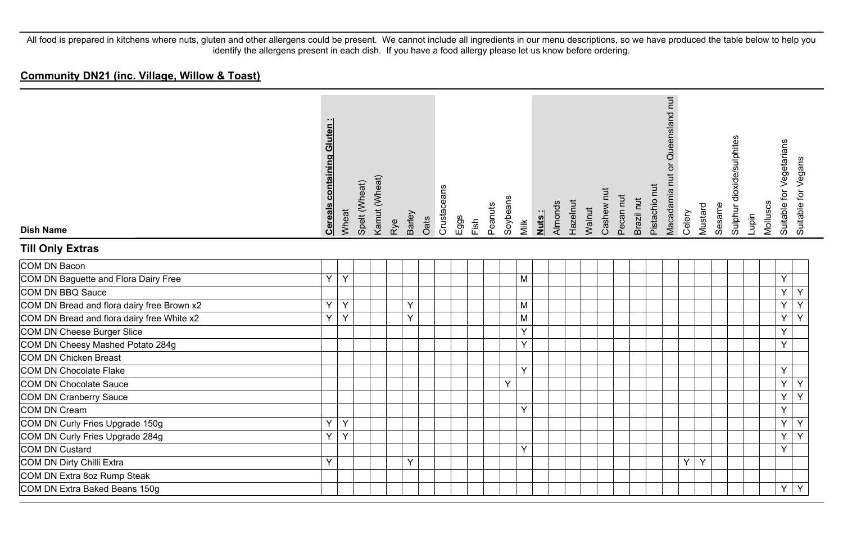| <b>Dish Name</b>                           | <b>Cereals containing Gluten:</b> | Wheat          | Spelt (Wheat) | Kamut (Wheat) | Rye | Barley | Oats | Crustaceans | Eggs<br>Fish | Peanuts | Soybeans | Milk | Nuts: | Almonds | Hazelnut | Walnut | Cashew nut | Pecan nut | Brazil nut | Pistachio nut | Macadamia nut or Queensland nut | Celery | Mustard | Sesame | Sulphur dioxide/sulphites | Lupin | Molluscs | Suitable for Vegetarians<br>Suitable for Vegans |  |
|--------------------------------------------|-----------------------------------|----------------|---------------|---------------|-----|--------|------|-------------|--------------|---------|----------|------|-------|---------|----------|--------|------------|-----------|------------|---------------|---------------------------------|--------|---------|--------|---------------------------|-------|----------|-------------------------------------------------|--|
| <b>Till Only Extras</b>                    |                                   |                |               |               |     |        |      |             |              |         |          |      |       |         |          |        |            |           |            |               |                                 |        |         |        |                           |       |          |                                                 |  |
| COM DN Bacon                               |                                   |                |               |               |     |        |      |             |              |         |          |      |       |         |          |        |            |           |            |               |                                 |        |         |        |                           |       |          |                                                 |  |
| COM DN Baguette and Flora Dairy Free       | Y.                                | $\mathsf{Y}$   |               |               |     |        |      |             |              |         |          | M    |       |         |          |        |            |           |            |               |                                 |        |         |        |                           |       |          | Y                                               |  |
| COM DN BBQ Sauce                           |                                   |                |               |               |     |        |      |             |              |         |          |      |       |         |          |        |            |           |            |               |                                 |        |         |        |                           |       |          | Y<br>Υ                                          |  |
| COM DN Bread and flora dairy free Brown x2 | Y                                 | Y              |               |               |     | Υ      |      |             |              |         |          | M    |       |         |          |        |            |           |            |               |                                 |        |         |        |                           |       |          | Y<br>Y                                          |  |
| COM DN Bread and flora dairy free White x2 | Y.                                | $\overline{Y}$ |               |               |     | Y      |      |             |              |         |          | M    |       |         |          |        |            |           |            |               |                                 |        |         |        |                           |       |          | $\overline{Y}$<br>Y                             |  |
| COM DN Cheese Burger Slice                 |                                   |                |               |               |     |        |      |             |              |         |          | Y    |       |         |          |        |            |           |            |               |                                 |        |         |        |                           |       |          | Y                                               |  |
| COM DN Cheesy Mashed Potato 284g           |                                   |                |               |               |     |        |      |             |              |         |          | Y    |       |         |          |        |            |           |            |               |                                 |        |         |        |                           |       |          | Y                                               |  |
| COM DN Chicken Breast                      |                                   |                |               |               |     |        |      |             |              |         |          |      |       |         |          |        |            |           |            |               |                                 |        |         |        |                           |       |          |                                                 |  |
| COM DN Chocolate Flake                     |                                   |                |               |               |     |        |      |             |              |         |          | Y    |       |         |          |        |            |           |            |               |                                 |        |         |        |                           |       |          | Y                                               |  |
| COM DN Chocolate Sauce                     |                                   |                |               |               |     |        |      |             |              |         | Y        |      |       |         |          |        |            |           |            |               |                                 |        |         |        |                           |       |          | $\overline{Y}$<br>Y                             |  |
| COM DN Cranberry Sauce                     |                                   |                |               |               |     |        |      |             |              |         |          |      |       |         |          |        |            |           |            |               |                                 |        |         |        |                           |       |          | $\overline{Y}$<br>$\overline{Y}$                |  |
| COM DN Cream                               |                                   |                |               |               |     |        |      |             |              |         |          | Y    |       |         |          |        |            |           |            |               |                                 |        |         |        |                           |       |          | Y                                               |  |
| COM DN Curly Fries Upgrade 150g            | Y                                 | Y              |               |               |     |        |      |             |              |         |          |      |       |         |          |        |            |           |            |               |                                 |        |         |        |                           |       |          | Y<br>Y                                          |  |
| COM DN Curly Fries Upgrade 284g            | Y.                                | Y              |               |               |     |        |      |             |              |         |          |      |       |         |          |        |            |           |            |               |                                 |        |         |        |                           |       |          | $\overline{Y}$<br>Y                             |  |
| COM DN Custard                             |                                   |                |               |               |     |        |      |             |              |         |          | Y    |       |         |          |        |            |           |            |               |                                 |        |         |        |                           |       |          | $\overline{Y}$                                  |  |
| COM DN Dirty Chilli Extra                  | Y                                 |                |               |               |     | Y      |      |             |              |         |          |      |       |         |          |        |            |           |            |               |                                 | Y      | Y       |        |                           |       |          |                                                 |  |
| COM DN Extra 8oz Rump Steak                |                                   |                |               |               |     |        |      |             |              |         |          |      |       |         |          |        |            |           |            |               |                                 |        |         |        |                           |       |          |                                                 |  |
| COM DN Extra Baked Beans 150g              |                                   |                |               |               |     |        |      |             |              |         |          |      |       |         |          |        |            |           |            |               |                                 |        |         |        |                           |       |          | Y<br>Y                                          |  |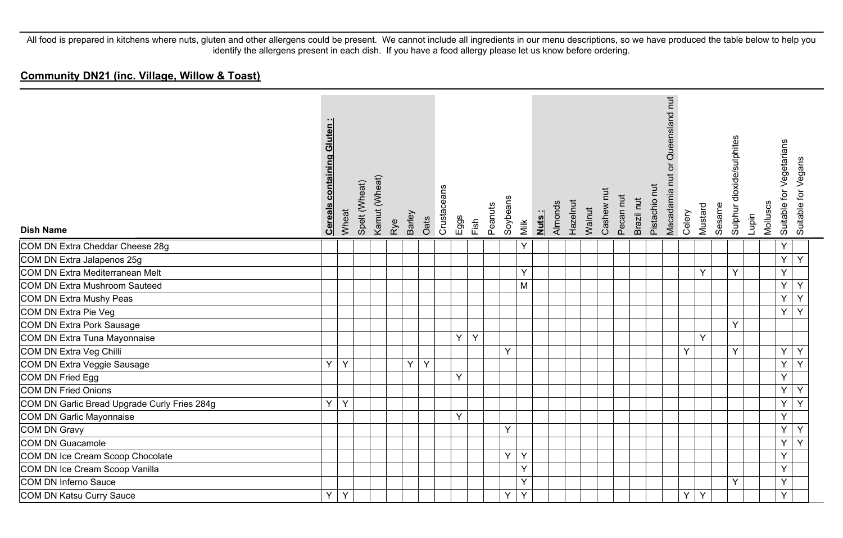| <b>Dish Name</b>                             | containing Gluten:<br><b>Cereals</b> | Wheat | Spelt (Wheat) | Kamut (Wheat) | Rye | Barley | Oats | Crustaceans | Eggs<br>Fish | Peanuts | Soybeans | Milk | Nuts: | Almonds | Hazelnut | Walnut | Cashew nut | Pecan nut | Brazil nut | Pistachio nut | Macadamia nut or Queensland nut | Celery | Mustard | Sesame | Sulphur dioxide/sulphites | Lupin | for Vegetarians<br>Molluscs<br>Suitable 1 | Suitable for Vegans |
|----------------------------------------------|--------------------------------------|-------|---------------|---------------|-----|--------|------|-------------|--------------|---------|----------|------|-------|---------|----------|--------|------------|-----------|------------|---------------|---------------------------------|--------|---------|--------|---------------------------|-------|-------------------------------------------|---------------------|
| COM DN Extra Cheddar Cheese 28g              |                                      |       |               |               |     |        |      |             |              |         |          | Y    |       |         |          |        |            |           |            |               |                                 |        |         |        |                           |       | Υ                                         |                     |
| COM DN Extra Jalapenos 25g                   |                                      |       |               |               |     |        |      |             |              |         |          |      |       |         |          |        |            |           |            |               |                                 |        |         |        |                           |       | $\overline{Y}$                            | Y                   |
| COM DN Extra Mediterranean Melt              |                                      |       |               |               |     |        |      |             |              |         |          | Y    |       |         |          |        |            |           |            |               |                                 |        | Y       |        | Y                         |       | Y                                         |                     |
| COM DN Extra Mushroom Sauteed                |                                      |       |               |               |     |        |      |             |              |         |          | M    |       |         |          |        |            |           |            |               |                                 |        |         |        |                           |       | Y                                         | Y                   |
| COM DN Extra Mushy Peas                      |                                      |       |               |               |     |        |      |             |              |         |          |      |       |         |          |        |            |           |            |               |                                 |        |         |        |                           |       | Y                                         | Y                   |
| COM DN Extra Pie Veg                         |                                      |       |               |               |     |        |      |             |              |         |          |      |       |         |          |        |            |           |            |               |                                 |        |         |        |                           |       | Y                                         | $\overline{Y}$      |
| COM DN Extra Pork Sausage                    |                                      |       |               |               |     |        |      |             |              |         |          |      |       |         |          |        |            |           |            |               |                                 |        |         |        | Y                         |       |                                           |                     |
| COM DN Extra Tuna Mayonnaise                 |                                      |       |               |               |     |        |      |             | Y<br>Y       |         |          |      |       |         |          |        |            |           |            |               |                                 |        | Y       |        |                           |       |                                           |                     |
| COM DN Extra Veg Chilli                      |                                      |       |               |               |     |        |      |             |              |         | Y        |      |       |         |          |        |            |           |            |               |                                 | Y      |         |        | Y                         |       | Y                                         | Y                   |
| COM DN Extra Veggie Sausage                  | Y                                    | Y     |               |               |     | Y.     | Y    |             |              |         |          |      |       |         |          |        |            |           |            |               |                                 |        |         |        |                           |       | Y                                         | Y                   |
| COM DN Fried Egg                             |                                      |       |               |               |     |        |      |             | Y            |         |          |      |       |         |          |        |            |           |            |               |                                 |        |         |        |                           |       | Y                                         |                     |
| COM DN Fried Onions                          |                                      |       |               |               |     |        |      |             |              |         |          |      |       |         |          |        |            |           |            |               |                                 |        |         |        |                           |       | Y                                         | Y                   |
| COM DN Garlic Bread Upgrade Curly Fries 284g | Y.                                   | Y     |               |               |     |        |      |             |              |         |          |      |       |         |          |        |            |           |            |               |                                 |        |         |        |                           |       | Y                                         | $\overline{Y}$      |
| COM DN Garlic Mayonnaise                     |                                      |       |               |               |     |        |      |             | Y            |         |          |      |       |         |          |        |            |           |            |               |                                 |        |         |        |                           |       | Y                                         |                     |
| COM DN Gravy                                 |                                      |       |               |               |     |        |      |             |              |         | Y        |      |       |         |          |        |            |           |            |               |                                 |        |         |        |                           |       | Y                                         | Υ                   |
| COM DN Guacamole                             |                                      |       |               |               |     |        |      |             |              |         |          |      |       |         |          |        |            |           |            |               |                                 |        |         |        |                           |       | Y                                         | Y                   |
| COM DN Ice Cream Scoop Chocolate             |                                      |       |               |               |     |        |      |             |              |         | Y        | Y    |       |         |          |        |            |           |            |               |                                 |        |         |        |                           |       | Y                                         |                     |
| COM DN Ice Cream Scoop Vanilla               |                                      |       |               |               |     |        |      |             |              |         |          | Y    |       |         |          |        |            |           |            |               |                                 |        |         |        |                           |       | Y                                         |                     |
| COM DN Inferno Sauce                         |                                      |       |               |               |     |        |      |             |              |         |          | Y    |       |         |          |        |            |           |            |               |                                 |        |         |        | Y                         |       | Y                                         |                     |
| COM DN Katsu Curry Sauce                     | Y                                    | Y     |               |               |     |        |      |             |              |         | Y        | Y    |       |         |          |        |            |           |            |               |                                 | Y      | Y       |        |                           |       | Y                                         |                     |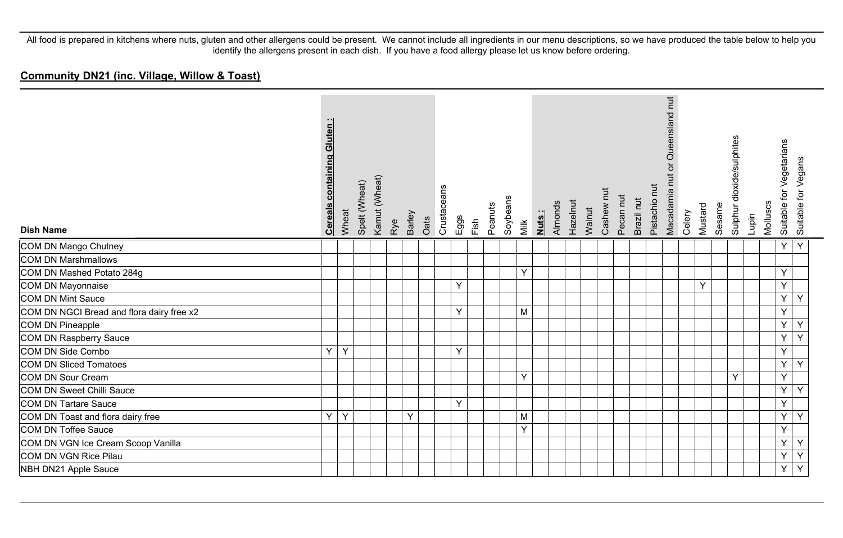| <b>Dish Name</b>                          | <b>Cereals containing Gluten:</b> | Wheat | Spelt (Wheat) | Kamut (Wheat) | Rye | <b>Barley</b> | Oats | Crustaceans | Eggs | Fish | Peanuts | Soybeans | Milk | Nuts: | Almonds | Hazelnut | Walnut | Cashew nut | Pecan nut | Brazil nut | Pistachio nut | nut<br>Queensland<br>ō<br>Macadamia nut | Celery | Mustard | Sesame | dioxide/sulphites<br>Sulphur | Lupin | Molluscs | for Vegetarians<br>Suitable | Suitable for Vegans |
|-------------------------------------------|-----------------------------------|-------|---------------|---------------|-----|---------------|------|-------------|------|------|---------|----------|------|-------|---------|----------|--------|------------|-----------|------------|---------------|-----------------------------------------|--------|---------|--------|------------------------------|-------|----------|-----------------------------|---------------------|
| COM DN Mango Chutney                      |                                   |       |               |               |     |               |      |             |      |      |         |          |      |       |         |          |        |            |           |            |               |                                         |        |         |        |                              |       |          | Υ                           | Y                   |
| COM DN Marshmallows                       |                                   |       |               |               |     |               |      |             |      |      |         |          |      |       |         |          |        |            |           |            |               |                                         |        |         |        |                              |       |          |                             |                     |
| COM DN Mashed Potato 284g                 |                                   |       |               |               |     |               |      |             |      |      |         |          | Y    |       |         |          |        |            |           |            |               |                                         |        |         |        |                              |       |          | Υ                           |                     |
| COM DN Mayonnaise                         |                                   |       |               |               |     |               |      |             | Y    |      |         |          |      |       |         |          |        |            |           |            |               |                                         |        | Y       |        |                              |       |          | Y                           |                     |
| COM DN Mint Sauce                         |                                   |       |               |               |     |               |      |             |      |      |         |          |      |       |         |          |        |            |           |            |               |                                         |        |         |        |                              |       |          | Y.                          | Y                   |
| COM DN NGCI Bread and flora dairy free x2 |                                   |       |               |               |     |               |      |             | Y    |      |         |          | M    |       |         |          |        |            |           |            |               |                                         |        |         |        |                              |       |          | Y                           |                     |
| COM DN Pineapple                          |                                   |       |               |               |     |               |      |             |      |      |         |          |      |       |         |          |        |            |           |            |               |                                         |        |         |        |                              |       |          | Y                           | Y                   |
| COM DN Raspberry Sauce                    |                                   |       |               |               |     |               |      |             |      |      |         |          |      |       |         |          |        |            |           |            |               |                                         |        |         |        |                              |       |          | Y                           | $\overline{Y}$      |
| COM DN Side Combo                         | Y                                 | Y     |               |               |     |               |      |             | Y    |      |         |          |      |       |         |          |        |            |           |            |               |                                         |        |         |        |                              |       |          | Y                           |                     |
| COM DN Sliced Tomatoes                    |                                   |       |               |               |     |               |      |             |      |      |         |          |      |       |         |          |        |            |           |            |               |                                         |        |         |        |                              |       |          | Y                           | Y                   |
| COM DN Sour Cream                         |                                   |       |               |               |     |               |      |             |      |      |         |          | Y    |       |         |          |        |            |           |            |               |                                         |        |         |        | Y                            |       |          | Y.                          |                     |
| COM DN Sweet Chilli Sauce                 |                                   |       |               |               |     |               |      |             |      |      |         |          |      |       |         |          |        |            |           |            |               |                                         |        |         |        |                              |       |          | Y                           | Y                   |
| COM DN Tartare Sauce                      |                                   |       |               |               |     |               |      |             | Y    |      |         |          |      |       |         |          |        |            |           |            |               |                                         |        |         |        |                              |       |          | Y.                          |                     |
| COM DN Toast and flora dairy free         | Y                                 | Y     |               |               |     | Y             |      |             |      |      |         |          | M    |       |         |          |        |            |           |            |               |                                         |        |         |        |                              |       |          | Y                           | Y                   |
| COM DN Toffee Sauce                       |                                   |       |               |               |     |               |      |             |      |      |         |          | Y    |       |         |          |        |            |           |            |               |                                         |        |         |        |                              |       |          | Y.                          |                     |
| COM DN VGN Ice Cream Scoop Vanilla        |                                   |       |               |               |     |               |      |             |      |      |         |          |      |       |         |          |        |            |           |            |               |                                         |        |         |        |                              |       |          | Y                           | Y                   |
| COM DN VGN Rice Pilau                     |                                   |       |               |               |     |               |      |             |      |      |         |          |      |       |         |          |        |            |           |            |               |                                         |        |         |        |                              |       |          | Y                           | Y                   |
| NBH DN21 Apple Sauce                      |                                   |       |               |               |     |               |      |             |      |      |         |          |      |       |         |          |        |            |           |            |               |                                         |        |         |        |                              |       |          | Y                           | Y                   |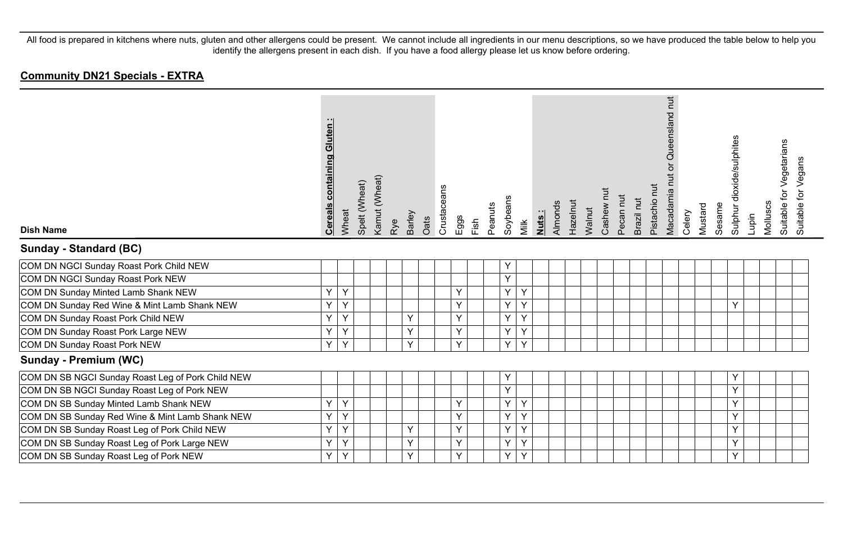#### **Community DN21 Specials - EXTRA**

| <b>Dish Name</b>                                  | <b>Cereals containing Gluten:</b> | Wheat | Spelt (Wheat) | Kamut (Wheat) | Rye | Barley | Oats | Crustaceans | Eggs<br>Fish | Peanuts | Soybeans | Milk | Nuts: | Almonds | Hazelnut | Walnut | Cashew nut | Pecan nut | Brazil nut | Pistachio nut | Queensland nut<br>$\overline{\sigma}$<br>Macadamia nut | Celery | Mustard | Sesame | Sulphur dioxide/sulphites | Lupin | Molluscs | Suitable for Vegetarians | Suitable for Vegans |
|---------------------------------------------------|-----------------------------------|-------|---------------|---------------|-----|--------|------|-------------|--------------|---------|----------|------|-------|---------|----------|--------|------------|-----------|------------|---------------|--------------------------------------------------------|--------|---------|--------|---------------------------|-------|----------|--------------------------|---------------------|
| Sunday - Standard (BC)                            |                                   |       |               |               |     |        |      |             |              |         |          |      |       |         |          |        |            |           |            |               |                                                        |        |         |        |                           |       |          |                          |                     |
| COM DN NGCI Sunday Roast Pork Child NEW           |                                   |       |               |               |     |        |      |             |              |         | Y        |      |       |         |          |        |            |           |            |               |                                                        |        |         |        |                           |       |          |                          |                     |
| COM DN NGCI Sunday Roast Pork NEW                 |                                   |       |               |               |     |        |      |             |              |         | Y.       |      |       |         |          |        |            |           |            |               |                                                        |        |         |        |                           |       |          |                          |                     |
| COM DN Sunday Minted Lamb Shank NEW               | Y                                 | Y     |               |               |     |        |      |             | Y            |         | Y.       | Y    |       |         |          |        |            |           |            |               |                                                        |        |         |        |                           |       |          |                          |                     |
| COM DN Sunday Red Wine & Mint Lamb Shank NEW      | Υ                                 | Y     |               |               |     |        |      |             | Y            |         | Y        | Y    |       |         |          |        |            |           |            |               |                                                        |        |         |        | Y                         |       |          |                          |                     |
| COM DN Sunday Roast Pork Child NEW                | Y                                 | Y     |               |               |     | Y      |      |             | Y            |         | Y        | Y    |       |         |          |        |            |           |            |               |                                                        |        |         |        |                           |       |          |                          |                     |
| COM DN Sunday Roast Pork Large NEW                | Υ                                 | Y     |               |               |     | Y      |      |             | Y            |         | Y        | Y    |       |         |          |        |            |           |            |               |                                                        |        |         |        |                           |       |          |                          |                     |
| COM DN Sunday Roast Pork NEW                      | Y                                 | Y     |               |               |     | Y      |      |             | Y            |         | Y        | Y    |       |         |          |        |            |           |            |               |                                                        |        |         |        |                           |       |          |                          |                     |
| Sunday - Premium (WC)                             |                                   |       |               |               |     |        |      |             |              |         |          |      |       |         |          |        |            |           |            |               |                                                        |        |         |        |                           |       |          |                          |                     |
| COM DN SB NGCI Sunday Roast Leg of Pork Child NEW |                                   |       |               |               |     |        |      |             |              |         | Y        |      |       |         |          |        |            |           |            |               |                                                        |        |         |        | Y                         |       |          |                          |                     |
| COM DN SB NGCI Sunday Roast Leg of Pork NEW       |                                   |       |               |               |     |        |      |             |              |         | Y        |      |       |         |          |        |            |           |            |               |                                                        |        |         |        | Y                         |       |          |                          |                     |
| COM DN SB Sunday Minted Lamb Shank NEW            | Y                                 | Y     |               |               |     |        |      |             | Y            |         | Y        | Y    |       |         |          |        |            |           |            |               |                                                        |        |         |        | Y                         |       |          |                          |                     |
| COM DN SB Sunday Red Wine & Mint Lamb Shank NEW   | Y                                 | Y     |               |               |     |        |      |             | Y            |         | Y        | Y    |       |         |          |        |            |           |            |               |                                                        |        |         |        | Y                         |       |          |                          |                     |
| COM DN SB Sunday Roast Leg of Pork Child NEW      | Y                                 | Y     |               |               |     | Y      |      |             | Y            |         | Y        | Y    |       |         |          |        |            |           |            |               |                                                        |        |         |        | Y                         |       |          |                          |                     |
| COM DN SB Sunday Roast Leg of Pork Large NEW      | Y                                 | Y     |               |               |     | Y      |      |             | $\vee$       |         | Y        | Y    |       |         |          |        |            |           |            |               |                                                        |        |         |        | Y                         |       |          |                          |                     |
| COM DN SB Sunday Roast Leg of Pork NEW            | Υ                                 | Y     |               |               |     | Y      |      |             | Y            |         | Y        | Y    |       |         |          |        |            |           |            |               |                                                        |        |         |        | Y                         |       |          |                          |                     |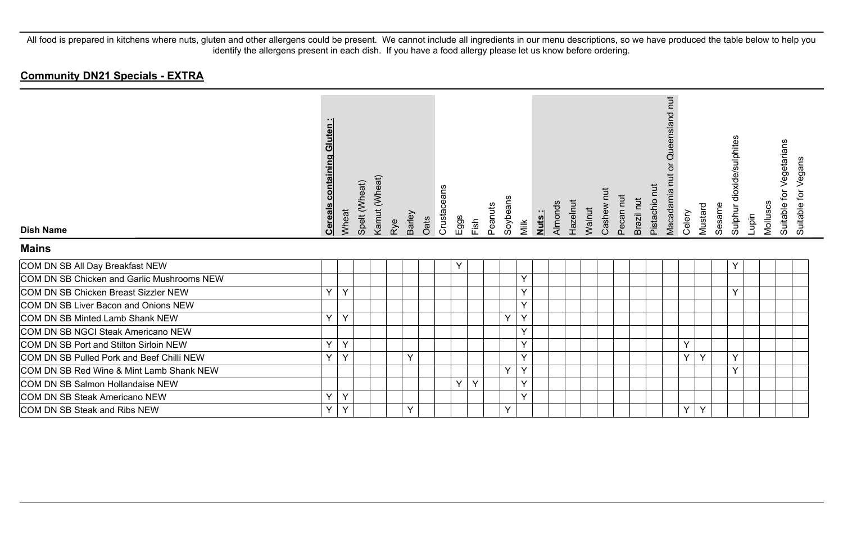#### **Community DN21 Specials - EXTRA**

| <b>Dish Name</b>                           | <b>Cereals containing Gluten:</b> | Wheat | Spelt (Wheat) | Kamut (Wheat) | Rye | <b>Barley</b> | Crustaceans<br>Oats | Eggs | Fish | Peanuts | Soybeans | Milk         | Nuts: | Almonds | Hazelnut<br>Walnut | Cashew | Pecan nu | Brazil nut | Pistachio nut | Queensland nut<br>ŏ<br>Macadamia nut<br>Celery | Sesame<br>Mustard | Sulphur dioxide/sulphites | Lupin | Vegetarians<br>đ<br>Molluscs<br>Suitable | Suitable for Vegans |  |
|--------------------------------------------|-----------------------------------|-------|---------------|---------------|-----|---------------|---------------------|------|------|---------|----------|--------------|-------|---------|--------------------|--------|----------|------------|---------------|------------------------------------------------|-------------------|---------------------------|-------|------------------------------------------|---------------------|--|
| <b>Mains</b>                               |                                   |       |               |               |     |               |                     |      |      |         |          |              |       |         |                    |        |          |            |               |                                                |                   |                           |       |                                          |                     |  |
| COM DN SB All Day Breakfast NEW            |                                   |       |               |               |     |               |                     | Υ    |      |         |          |              |       |         |                    |        |          |            |               |                                                |                   |                           |       |                                          |                     |  |
| COM DN SB Chicken and Garlic Mushrooms NEW |                                   |       |               |               |     |               |                     |      |      |         |          | $\checkmark$ |       |         |                    |        |          |            |               |                                                |                   |                           |       |                                          |                     |  |
| COM DN SB Chicken Breast Sizzler NEW       | $\checkmark$                      | Y     |               |               |     |               |                     |      |      |         |          | $\checkmark$ |       |         |                    |        |          |            |               |                                                |                   | $\checkmark$              |       |                                          |                     |  |
| COM DN SB Liver Bacon and Onions NEW       |                                   |       |               |               |     |               |                     |      |      |         |          | $\checkmark$ |       |         |                    |        |          |            |               |                                                |                   |                           |       |                                          |                     |  |
| COM DN SB Minted Lamb Shank NEW            | $\vee$                            | Y     |               |               |     |               |                     |      |      |         | Y        | $\vee$       |       |         |                    |        |          |            |               |                                                |                   |                           |       |                                          |                     |  |
| COM DN SB NGCI Steak Americano NEW         |                                   |       |               |               |     |               |                     |      |      |         |          | $\checkmark$ |       |         |                    |        |          |            |               |                                                |                   |                           |       |                                          |                     |  |
| COM DN SB Port and Stilton Sirloin NEW     | $\vee$                            | Y     |               |               |     |               |                     |      |      |         |          | $\vee$       |       |         |                    |        |          |            |               | Y                                              |                   |                           |       |                                          |                     |  |
| COM DN SB Pulled Pork and Beef Chilli NEW  | $\checkmark$                      | Y     |               |               |     | Y             |                     |      |      |         |          | $\checkmark$ |       |         |                    |        |          |            |               | Y                                              | Y                 | v                         |       |                                          |                     |  |
| COM DN SB Red Wine & Mint Lamb Shank NEW   |                                   |       |               |               |     |               |                     |      |      |         | Y        | $\vee$       |       |         |                    |        |          |            |               |                                                |                   | v                         |       |                                          |                     |  |
| COM DN SB Salmon Hollandaise NEW           |                                   |       |               |               |     |               |                     | Y    | Y    |         |          | $\checkmark$ |       |         |                    |        |          |            |               |                                                |                   |                           |       |                                          |                     |  |
| COM DN SB Steak Americano NEW              | $\checkmark$                      | Y     |               |               |     |               |                     |      |      |         |          | $\vee$       |       |         |                    |        |          |            |               |                                                |                   |                           |       |                                          |                     |  |
| COM DN SB Steak and Ribs NEW               | $\checkmark$                      | Υ     |               |               |     | Υ             |                     |      |      |         | Y        |              |       |         |                    |        |          |            |               | Υ                                              | Y                 |                           |       |                                          |                     |  |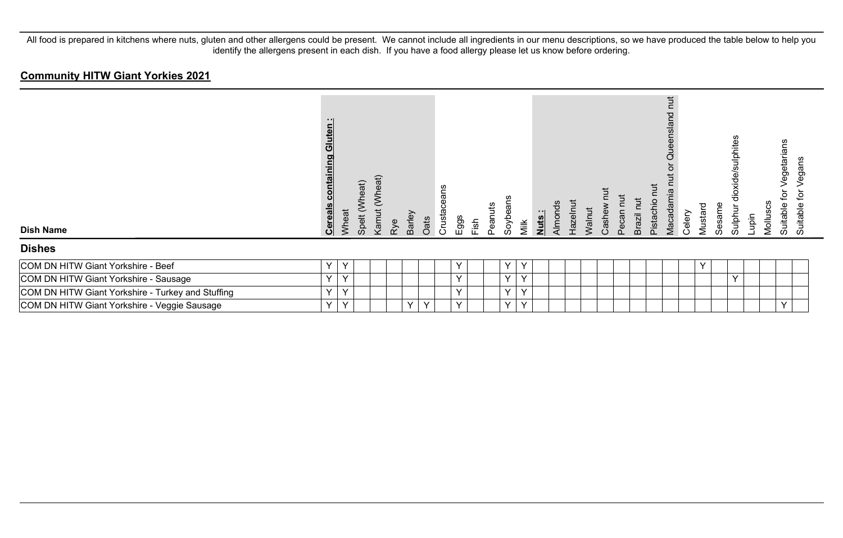## **Community HITW Giant Yorkies 2021**

| <b>Dish Name</b>                                  | - 11<br>uten<br><u>ම</u><br><u>containing</u><br><b>Cereals</b> | Wheat  | (Wheat)<br>Spelt | (Wheat)<br>Kamut | Barley<br>Rye | Oats   | Crustaceans | Eggs<br>Fish | Peanuts | Soybe  | Milk         | Nuts: | Almond <sub>s</sub> | Hazelnut<br>Walnut | Cashew | Pecan nut | Tut<br><b>Brazil</b> | <b>Tur</b><br>Pistachio | hut<br>ensland<br><b>Que</b><br>Macadamia | Celery | Mustard      | Sesame       | dioxide/sulphites<br>Sulphur | Molluscs<br>Lupin | egetaria<br>₫<br>Suitable | egans<br>⊋<br>Suitable |
|---------------------------------------------------|-----------------------------------------------------------------|--------|------------------|------------------|---------------|--------|-------------|--------------|---------|--------|--------------|-------|---------------------|--------------------|--------|-----------|----------------------|-------------------------|-------------------------------------------|--------|--------------|--------------|------------------------------|-------------------|---------------------------|------------------------|
| <b>Dishes</b>                                     |                                                                 |        |                  |                  |               |        |             |              |         |        |              |       |                     |                    |        |           |                      |                         |                                           |        |              |              |                              |                   |                           |                        |
| COM DN HITW Giant Yorkshire - Beef                | Y                                                               | Y      |                  |                  |               |        |             | Y            |         | v      | Y            |       |                     |                    |        |           |                      |                         |                                           |        | $\checkmark$ |              |                              |                   |                           |                        |
| COM DN HITW Giant Yorkshire - Sausage             | Y                                                               | $\vee$ |                  |                  |               |        |             | $\checkmark$ |         | $\vee$ | $\checkmark$ |       |                     |                    |        |           |                      |                         |                                           |        |              | $\checkmark$ |                              |                   |                           |                        |
| COM DN HITW Giant Yorkshire - Turkey and Stuffing | Y                                                               | Y      |                  |                  |               |        |             | $\checkmark$ |         | $\vee$ | $\checkmark$ |       |                     |                    |        |           |                      |                         |                                           |        |              |              |                              |                   |                           |                        |
| COM DN HITW Giant Yorkshire - Veggie Sausage      | Y                                                               | Y      |                  |                  | Y             | $\vee$ |             | $\vee$       |         | $\vee$ | v            |       |                     |                    |        |           |                      |                         |                                           |        |              |              |                              |                   | $\sqrt{}$                 |                        |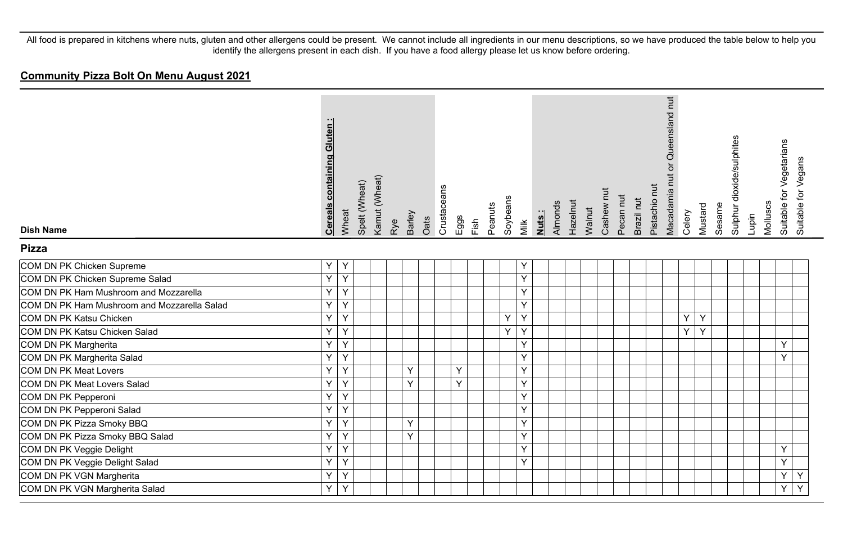| <b>Dish Name</b>                            | containing Gluten:<br><b>Cereals</b> | Wheat          | Spelt (Wheat) | Kamut (Wheat) | Rye | Barley | Oats | Crustaceans | Eggs | Fish | Peanuts | Soybeans | Milk | Almonds<br>Nuts: | Hazelnut | Walnut | Cashew nut | Pecan nut | Brazil nut | Pistachio nut | Macadamia nut or Queensland nut | Celery | Mustard | Sesame | Sulphur dioxide/sulphites | Lupin | Molluscs | Suitable for Vegetarians | Suitable for Vegans |
|---------------------------------------------|--------------------------------------|----------------|---------------|---------------|-----|--------|------|-------------|------|------|---------|----------|------|------------------|----------|--------|------------|-----------|------------|---------------|---------------------------------|--------|---------|--------|---------------------------|-------|----------|--------------------------|---------------------|
| <b>Pizza</b>                                |                                      |                |               |               |     |        |      |             |      |      |         |          |      |                  |          |        |            |           |            |               |                                 |        |         |        |                           |       |          |                          |                     |
| COM DN PK Chicken Supreme                   | Y.                                   | Y              |               |               |     |        |      |             |      |      |         |          | Υ    |                  |          |        |            |           |            |               |                                 |        |         |        |                           |       |          |                          |                     |
| COM DN PK Chicken Supreme Salad             | Y                                    | Y              |               |               |     |        |      |             |      |      |         |          | Y    |                  |          |        |            |           |            |               |                                 |        |         |        |                           |       |          |                          |                     |
| COM DN PK Ham Mushroom and Mozzarella       | Y.                                   | Y              |               |               |     |        |      |             |      |      |         |          | Y    |                  |          |        |            |           |            |               |                                 |        |         |        |                           |       |          |                          |                     |
| COM DN PK Ham Mushroom and Mozzarella Salad | Y.                                   | Y              |               |               |     |        |      |             |      |      |         |          | Y    |                  |          |        |            |           |            |               |                                 |        |         |        |                           |       |          |                          |                     |
| COM DN PK Katsu Chicken                     | $\overline{Y}$                       | $\overline{Y}$ |               |               |     |        |      |             |      |      |         | Y        | Y    |                  |          |        |            |           |            |               |                                 | Y      | Y       |        |                           |       |          |                          |                     |
| COM DN PK Katsu Chicken Salad               | Y                                    | Y              |               |               |     |        |      |             |      |      |         | Y        | Y    |                  |          |        |            |           |            |               |                                 | Y      | Y       |        |                           |       |          |                          |                     |
| COM DN PK Margherita                        | Y                                    | Y              |               |               |     |        |      |             |      |      |         |          | Y    |                  |          |        |            |           |            |               |                                 |        |         |        |                           |       |          | Y                        |                     |
| COM DN PK Margherita Salad                  | Y                                    | Y              |               |               |     |        |      |             |      |      |         |          | Y    |                  |          |        |            |           |            |               |                                 |        |         |        |                           |       |          | Y                        |                     |
| COM DN PK Meat Lovers                       | Y.                                   | Y              |               |               |     | Y      |      |             | Y    |      |         |          | Y    |                  |          |        |            |           |            |               |                                 |        |         |        |                           |       |          |                          |                     |
| COM DN PK Meat Lovers Salad                 | Y.                                   | Y              |               |               |     | Y      |      |             | Y    |      |         |          | Y    |                  |          |        |            |           |            |               |                                 |        |         |        |                           |       |          |                          |                     |
| COM DN PK Pepperoni                         | Y                                    | Y              |               |               |     |        |      |             |      |      |         |          | Y    |                  |          |        |            |           |            |               |                                 |        |         |        |                           |       |          |                          |                     |
| COM DN PK Pepperoni Salad                   | Y                                    | Y              |               |               |     |        |      |             |      |      |         |          | Y    |                  |          |        |            |           |            |               |                                 |        |         |        |                           |       |          |                          |                     |
| COM DN PK Pizza Smoky BBQ                   | Y.                                   | Y              |               |               |     | Y      |      |             |      |      |         |          | Y    |                  |          |        |            |           |            |               |                                 |        |         |        |                           |       |          |                          |                     |
| COM DN PK Pizza Smoky BBQ Salad             | Y                                    | Y              |               |               |     | Y      |      |             |      |      |         |          | Y    |                  |          |        |            |           |            |               |                                 |        |         |        |                           |       |          |                          |                     |
| COM DN PK Veggie Delight                    | Y                                    | Y              |               |               |     |        |      |             |      |      |         |          | Y    |                  |          |        |            |           |            |               |                                 |        |         |        |                           |       |          | Y                        |                     |
| COM DN PK Veggie Delight Salad              | Y                                    | Y              |               |               |     |        |      |             |      |      |         |          | Y    |                  |          |        |            |           |            |               |                                 |        |         |        |                           |       |          | Y                        |                     |
| COM DN PK VGN Margherita                    | Y                                    | Y              |               |               |     |        |      |             |      |      |         |          |      |                  |          |        |            |           |            |               |                                 |        |         |        |                           |       |          | Y                        | Y                   |
| COM DN PK VGN Margherita Salad              | Y.                                   | Y              |               |               |     |        |      |             |      |      |         |          |      |                  |          |        |            |           |            |               |                                 |        |         |        |                           |       |          | Y                        | Y                   |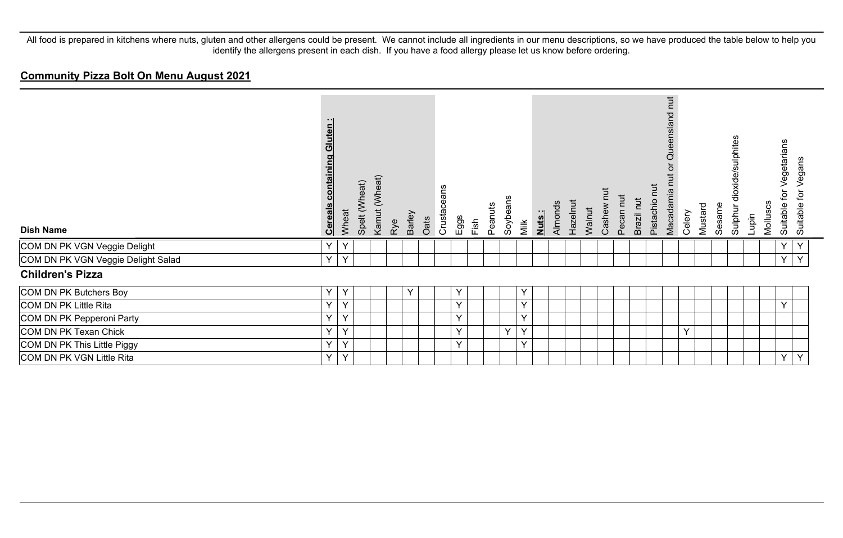| <b>Dish Name</b>                   | Gluten<br>containing<br><u>Cereals</u> | Wheat | Spelt (Wheat) | Kamut (Wheat) | Rye | Barley | Oats | eans<br>Crustace | Eggs | Fish | Peanuts | Soybeans | Milk | Nuts: | Almonds | Hazelnut | Walnut | Cashew | Pecan nut | Brazil nut | īut<br>Pistachio | $\overline{a}$<br>ueensland<br>O<br>Macadamia | Celery | Mustard | Sesame | dioxide/sulphites<br>Sulphur | Lupin | Molluscs | Vegetarians<br>đ<br>Suitable | Vegans<br>Suitable for |
|------------------------------------|----------------------------------------|-------|---------------|---------------|-----|--------|------|------------------|------|------|---------|----------|------|-------|---------|----------|--------|--------|-----------|------------|------------------|-----------------------------------------------|--------|---------|--------|------------------------------|-------|----------|------------------------------|------------------------|
| COM DN PK VGN Veggie Delight       | Y                                      | Y     |               |               |     |        |      |                  |      |      |         |          |      |       |         |          |        |        |           |            |                  |                                               |        |         |        |                              |       |          | Υ                            | Y                      |
| COM DN PK VGN Veggie Delight Salad | Y                                      | Y     |               |               |     |        |      |                  |      |      |         |          |      |       |         |          |        |        |           |            |                  |                                               |        |         |        |                              |       |          | Y                            | Y                      |
| <b>Children's Pizza</b>            |                                        |       |               |               |     |        |      |                  |      |      |         |          |      |       |         |          |        |        |           |            |                  |                                               |        |         |        |                              |       |          |                              |                        |
| COM DN PK Butchers Boy             | Y                                      | Y     |               |               |     | Υ      |      |                  | Y    |      |         |          | Y    |       |         |          |        |        |           |            |                  |                                               |        |         |        |                              |       |          |                              |                        |
| COM DN PK Little Rita              | Y                                      | Y     |               |               |     |        |      |                  | Y    |      |         |          | Y    |       |         |          |        |        |           |            |                  |                                               |        |         |        |                              |       |          | Y                            |                        |
| COM DN PK Pepperoni Party          | Y                                      | Y     |               |               |     |        |      |                  | Y    |      |         |          | Y    |       |         |          |        |        |           |            |                  |                                               |        |         |        |                              |       |          |                              |                        |
| COM DN PK Texan Chick              | Y                                      | Y     |               |               |     |        |      |                  | Y    |      |         | Y        | Y    |       |         |          |        |        |           |            |                  |                                               | Y      |         |        |                              |       |          |                              |                        |
| COM DN PK This Little Piggy        | Y                                      | Y     |               |               |     |        |      |                  | Y    |      |         |          | Y    |       |         |          |        |        |           |            |                  |                                               |        |         |        |                              |       |          |                              |                        |
| COM DN PK VGN Little Rita          | Y                                      | Y     |               |               |     |        |      |                  |      |      |         |          |      |       |         |          |        |        |           |            |                  |                                               |        |         |        |                              |       |          | Y                            | Y                      |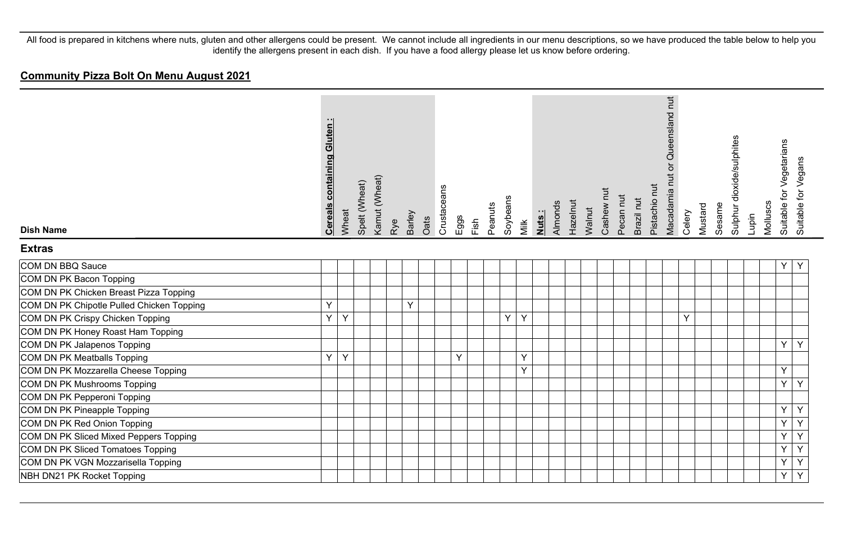| <b>Dish Name</b>                          | containing Gluten:<br><b>Cereals</b> | Wheat | Spelt (Wheat) | Kamut (Wheat) | Rye | Barley | Oats | Crustaceans | Eggs | Fish | Soybeans<br>Peanuts | Milk | Nuts: | Almonds | Hazelnut | Walnut | Cashew nut | Pecan nut | Brazil nut | Pistachio nut | Queensland nut<br>ð<br>Macadamia nut | Celery | Mustard | Sesame | Sulphur dioxide/sulphites | Lupin | Molluscs | Suitable for Vegetarians | Suitable for Vegans |
|-------------------------------------------|--------------------------------------|-------|---------------|---------------|-----|--------|------|-------------|------|------|---------------------|------|-------|---------|----------|--------|------------|-----------|------------|---------------|--------------------------------------|--------|---------|--------|---------------------------|-------|----------|--------------------------|---------------------|
| <b>Extras</b>                             |                                      |       |               |               |     |        |      |             |      |      |                     |      |       |         |          |        |            |           |            |               |                                      |        |         |        |                           |       |          |                          |                     |
| COM DN BBQ Sauce                          |                                      |       |               |               |     |        |      |             |      |      |                     |      |       |         |          |        |            |           |            |               |                                      |        |         |        |                           |       |          | Υ                        | Y                   |
| COM DN PK Bacon Topping                   |                                      |       |               |               |     |        |      |             |      |      |                     |      |       |         |          |        |            |           |            |               |                                      |        |         |        |                           |       |          |                          |                     |
| COM DN PK Chicken Breast Pizza Topping    |                                      |       |               |               |     |        |      |             |      |      |                     |      |       |         |          |        |            |           |            |               |                                      |        |         |        |                           |       |          |                          |                     |
| COM DN PK Chipotle Pulled Chicken Topping | Y                                    |       |               |               |     | Y      |      |             |      |      |                     |      |       |         |          |        |            |           |            |               |                                      |        |         |        |                           |       |          |                          |                     |
| COM DN PK Crispy Chicken Topping          | Y                                    | Y     |               |               |     |        |      |             |      |      | Y                   | Y    |       |         |          |        |            |           |            |               |                                      | Y      |         |        |                           |       |          |                          |                     |
| COM DN PK Honey Roast Ham Topping         |                                      |       |               |               |     |        |      |             |      |      |                     |      |       |         |          |        |            |           |            |               |                                      |        |         |        |                           |       |          |                          |                     |
| COM DN PK Jalapenos Topping               |                                      |       |               |               |     |        |      |             |      |      |                     |      |       |         |          |        |            |           |            |               |                                      |        |         |        |                           |       |          | Y                        | Y                   |
| COM DN PK Meatballs Topping               | Y.                                   | Y     |               |               |     |        |      |             | Y    |      |                     | Y    |       |         |          |        |            |           |            |               |                                      |        |         |        |                           |       |          |                          |                     |
| COM DN PK Mozzarella Cheese Topping       |                                      |       |               |               |     |        |      |             |      |      |                     | Y    |       |         |          |        |            |           |            |               |                                      |        |         |        |                           |       |          | Y                        |                     |
| COM DN PK Mushrooms Topping               |                                      |       |               |               |     |        |      |             |      |      |                     |      |       |         |          |        |            |           |            |               |                                      |        |         |        |                           |       |          | Y                        | Y                   |
| COM DN PK Pepperoni Topping               |                                      |       |               |               |     |        |      |             |      |      |                     |      |       |         |          |        |            |           |            |               |                                      |        |         |        |                           |       |          |                          |                     |
| COM DN PK Pineapple Topping               |                                      |       |               |               |     |        |      |             |      |      |                     |      |       |         |          |        |            |           |            |               |                                      |        |         |        |                           |       |          | Υ                        | Y                   |
| COM DN PK Red Onion Topping               |                                      |       |               |               |     |        |      |             |      |      |                     |      |       |         |          |        |            |           |            |               |                                      |        |         |        |                           |       |          | Y                        | Y                   |
| COM DN PK Sliced Mixed Peppers Topping    |                                      |       |               |               |     |        |      |             |      |      |                     |      |       |         |          |        |            |           |            |               |                                      |        |         |        |                           |       |          | Y                        | Y                   |
| COM DN PK Sliced Tomatoes Topping         |                                      |       |               |               |     |        |      |             |      |      |                     |      |       |         |          |        |            |           |            |               |                                      |        |         |        |                           |       |          | Y                        | $\overline{Y}$      |
| COM DN PK VGN Mozzarisella Topping        |                                      |       |               |               |     |        |      |             |      |      |                     |      |       |         |          |        |            |           |            |               |                                      |        |         |        |                           |       |          | Y                        | Υ                   |
| NBH DN21 PK Rocket Topping                |                                      |       |               |               |     |        |      |             |      |      |                     |      |       |         |          |        |            |           |            |               |                                      |        |         |        |                           |       |          | Υ                        | Y                   |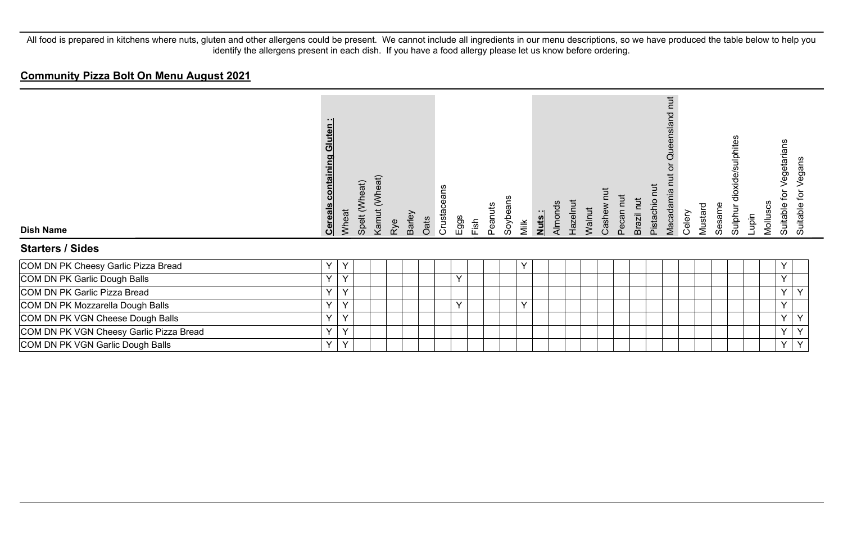| <b>Dish Name</b>                        | luten<br>ပျ<br>containing<br><b>Cereals</b> | Wheat        | Spelt (Wheat) | Kamut (Wheat) | Barley<br>Rye | Oats | eans<br>Crustace | $E$ ggs      | Fish | Peanuts | Soybeans | Nuts:<br>Milk | Almonds | Hazelnut | Walnut | Cashew | Pecan nut | Brazil nut | $\overline{a}$<br>Pistachio | ち<br>p<br>ă<br>Macadamia | Celery | Mustard | Sesame | dioxide/sulphites<br>Sulphur | Lupin | Molluscs | egetarians<br>ğ<br>Suitable | egans<br>><br>đ<br>Suitable |
|-----------------------------------------|---------------------------------------------|--------------|---------------|---------------|---------------|------|------------------|--------------|------|---------|----------|---------------|---------|----------|--------|--------|-----------|------------|-----------------------------|--------------------------|--------|---------|--------|------------------------------|-------|----------|-----------------------------|-----------------------------|
| <b>Starters / Sides</b>                 |                                             |              |               |               |               |      |                  |              |      |         |          |               |         |          |        |        |           |            |                             |                          |        |         |        |                              |       |          |                             |                             |
| COM DN PK Cheesy Garlic Pizza Bread     | Y                                           | Y            |               |               |               |      |                  |              |      |         |          | Y             |         |          |        |        |           |            |                             |                          |        |         |        |                              |       |          | Υ                           |                             |
| COM DN PK Garlic Dough Balls            | $\vee$                                      | $\checkmark$ |               |               |               |      |                  | $\checkmark$ |      |         |          |               |         |          |        |        |           |            |                             |                          |        |         |        |                              |       |          | Y                           |                             |
| COM DN PK Garlic Pizza Bread            | Y                                           | Y            |               |               |               |      |                  |              |      |         |          |               |         |          |        |        |           |            |                             |                          |        |         |        |                              |       |          | Y.                          | Y                           |
| COM DN PK Mozzarella Dough Balls        | Y                                           | Y            |               |               |               |      |                  | $\checkmark$ |      |         |          | $\vee$        |         |          |        |        |           |            |                             |                          |        |         |        |                              |       |          | Y                           |                             |
| COM DN PK VGN Cheese Dough Balls        | Y                                           | Y            |               |               |               |      |                  |              |      |         |          |               |         |          |        |        |           |            |                             |                          |        |         |        |                              |       |          | Y.                          | Y                           |
| COM DN PK VGN Cheesy Garlic Pizza Bread | $\checkmark$                                | $\checkmark$ |               |               |               |      |                  |              |      |         |          |               |         |          |        |        |           |            |                             |                          |        |         |        |                              |       |          | Y                           | Y                           |
| COM DN PK VGN Garlic Dough Balls        | Y                                           | Y            |               |               |               |      |                  |              |      |         |          |               |         |          |        |        |           |            |                             |                          |        |         |        |                              |       |          | Y.                          | Y                           |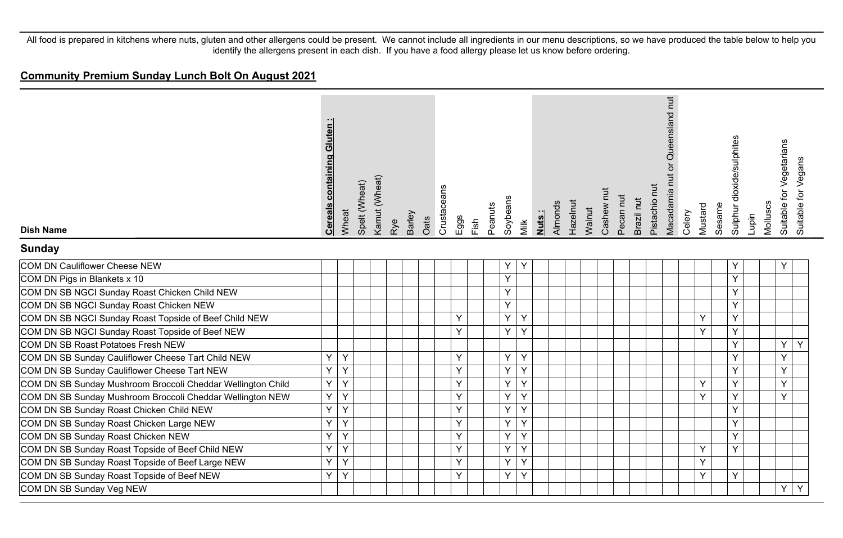# **Community Premium Sunday Lunch Bolt On August 2021**

| <b>Dish Name</b>                                            | containing Gluten:<br><b>Cereals</b> | Wheat | Spelt (Wheat) | Kamut (Wheat) | Rye | Barley | Oats | Crustaceans | Eggs | Fish | Peanuts | Soybeans | Milk | Nuts: | Almonds | Hazelnut | Walnut | Cashew nut | Pecan nut | Brazil nut | Pistachio nut | Queensland nut<br>Macadamia nut or | Celery | Mustard | Sesame | Sulphur dioxide/sulphites | Lupin | Molluscs | Suitable for Vegetarians<br>Suitable for Vegans |  |
|-------------------------------------------------------------|--------------------------------------|-------|---------------|---------------|-----|--------|------|-------------|------|------|---------|----------|------|-------|---------|----------|--------|------------|-----------|------------|---------------|------------------------------------|--------|---------|--------|---------------------------|-------|----------|-------------------------------------------------|--|
| <b>Sunday</b>                                               |                                      |       |               |               |     |        |      |             |      |      |         |          |      |       |         |          |        |            |           |            |               |                                    |        |         |        |                           |       |          |                                                 |  |
| COM DN Cauliflower Cheese NEW                               |                                      |       |               |               |     |        |      |             |      |      |         | Y        | Y    |       |         |          |        |            |           |            |               |                                    |        |         |        | Y                         |       |          | Y                                               |  |
| COM DN Pigs in Blankets x 10                                |                                      |       |               |               |     |        |      |             |      |      |         | Y        |      |       |         |          |        |            |           |            |               |                                    |        |         |        | Y                         |       |          |                                                 |  |
| COM DN SB NGCI Sunday Roast Chicken Child NEW               |                                      |       |               |               |     |        |      |             |      |      |         | Υ        |      |       |         |          |        |            |           |            |               |                                    |        |         |        | Y                         |       |          |                                                 |  |
| COM DN SB NGCI Sunday Roast Chicken NEW                     |                                      |       |               |               |     |        |      |             |      |      |         | Y        |      |       |         |          |        |            |           |            |               |                                    |        |         |        | Y                         |       |          |                                                 |  |
| COM DN SB NGCI Sunday Roast Topside of Beef Child NEW       |                                      |       |               |               |     |        |      |             | Y    |      |         | Y        | Y    |       |         |          |        |            |           |            |               |                                    |        | Y       |        | Y                         |       |          |                                                 |  |
| COM DN SB NGCI Sunday Roast Topside of Beef NEW             |                                      |       |               |               |     |        |      |             | Y    |      |         | Y        | Y    |       |         |          |        |            |           |            |               |                                    |        | Y       |        | Y                         |       |          |                                                 |  |
| COM DN SB Roast Potatoes Fresh NEW                          |                                      |       |               |               |     |        |      |             |      |      |         |          |      |       |         |          |        |            |           |            |               |                                    |        |         |        | Y                         |       |          | Y<br>Y                                          |  |
| COM DN SB Sunday Cauliflower Cheese Tart Child NEW          | Y                                    | Y     |               |               |     |        |      |             | Y    |      |         | Y        | Y    |       |         |          |        |            |           |            |               |                                    |        |         |        | Y                         |       |          | Y                                               |  |
| COM DN SB Sunday Cauliflower Cheese Tart NEW                | Y                                    | Y     |               |               |     |        |      |             | Y    |      |         | Y        | Y    |       |         |          |        |            |           |            |               |                                    |        |         |        | <b>V</b>                  |       |          | Y                                               |  |
| COM DN SB Sunday Mushroom Broccoli Cheddar Wellington Child | Y.                                   | Y     |               |               |     |        |      |             | Y    |      |         | Y        | Y    |       |         |          |        |            |           |            |               |                                    |        | Υ       |        | Y                         |       |          | Y                                               |  |
| COM DN SB Sunday Mushroom Broccoli Cheddar Wellington NEW   | Y.                                   | Y     |               |               |     |        |      |             | Y    |      |         | Y        | Y    |       |         |          |        |            |           |            |               |                                    |        | Y       |        | $\checkmark$              |       |          | Y                                               |  |
| COM DN SB Sunday Roast Chicken Child NEW                    | Y                                    | Y     |               |               |     |        |      |             | Y    |      |         | Y        | Y    |       |         |          |        |            |           |            |               |                                    |        |         |        | Y                         |       |          |                                                 |  |
| COM DN SB Sunday Roast Chicken Large NEW                    | Y                                    | Y     |               |               |     |        |      |             | Y    |      |         | Y        | Υ    |       |         |          |        |            |           |            |               |                                    |        |         |        | Y                         |       |          |                                                 |  |
| COM DN SB Sunday Roast Chicken NEW                          | Y                                    | Y     |               |               |     |        |      |             | Υ    |      |         | Y        | Y    |       |         |          |        |            |           |            |               |                                    |        |         |        | Y.                        |       |          |                                                 |  |
| COM DN SB Sunday Roast Topside of Beef Child NEW            | Y                                    | Y     |               |               |     |        |      |             | Y    |      |         | Y        | Y    |       |         |          |        |            |           |            |               |                                    |        | Y       |        | Y                         |       |          |                                                 |  |
| COM DN SB Sunday Roast Topside of Beef Large NEW            | Y                                    | Y     |               |               |     |        |      |             | Y    |      |         | Y        | Y    |       |         |          |        |            |           |            |               |                                    |        | Υ       |        |                           |       |          |                                                 |  |
| COM DN SB Sunday Roast Topside of Beef NEW                  | Y.                                   | Y     |               |               |     |        |      |             | Y    |      |         | Υ        | Y    |       |         |          |        |            |           |            |               |                                    |        | Y       |        | Y                         |       |          |                                                 |  |
| COM DN SB Sunday Veg NEW                                    |                                      |       |               |               |     |        |      |             |      |      |         |          |      |       |         |          |        |            |           |            |               |                                    |        |         |        |                           |       |          | Y<br>Y                                          |  |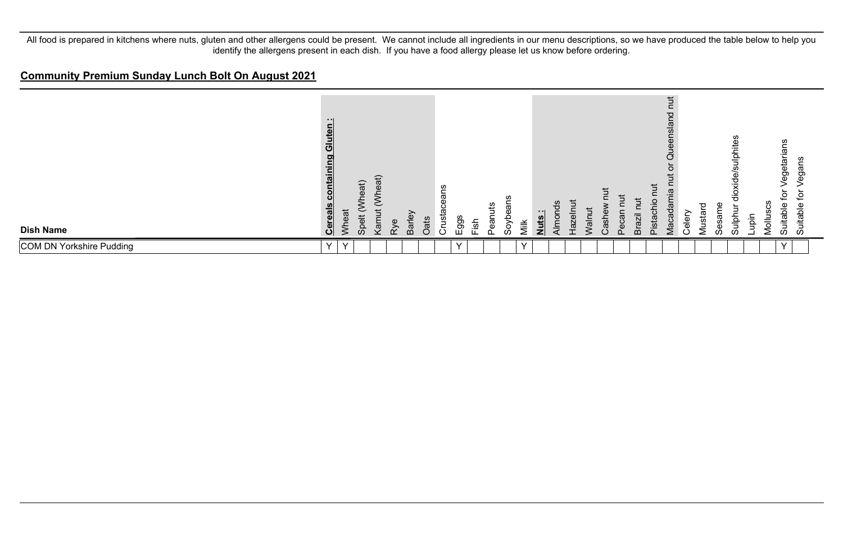#### **Community Premium Sunday Lunch Bolt On August 2021**

| <b>Dish Name</b>         | - 1<br>Gluten<br>containing<br><b>Cereals</b> | eat<br>$\bar{\xi}$ | /heat)<br>$\ddot{a}$<br>တိ | ₽<br>ĝά<br>$\sqrt{a}$ | ξγe | Barley | å<br>$\bigcap$ | ىب<br>Crus | ggs          | Fish | ā<br>◠ | ă<br>٢Ñ | <b>Jiik</b> | <br><u>Juts</u> | Almo | $\frac{c}{\Phi}$<br>vaz | $\bar{5}$ | ise | C | Brazil | ≒<br>$\overline{\omega}$<br><u>ল</u> | $\overline{5}$<br>Queensland<br>ເບ<br>Aaca | eler | P<br>ω<br>Vlusti | αs<br>Φ | ဖာ<br>ulphites<br>de<br>ਨ<br>흨 | iari<br>B | ပ<br>n<br>Mollus | ၯ<br>getaria<br>Φ<br>ō<br>Suitable | ഗ<br>கு<br>œ<br>Suitable |
|--------------------------|-----------------------------------------------|--------------------|----------------------------|-----------------------|-----|--------|----------------|------------|--------------|------|--------|---------|-------------|-----------------|------|-------------------------|-----------|-----|---|--------|--------------------------------------|--------------------------------------------|------|------------------|---------|--------------------------------|-----------|------------------|------------------------------------|--------------------------|
| COM DN Yorkshire Pudding | $\mathbf{v}$                                  | $\checkmark$       |                            |                       |     |        |                |            | $\checkmark$ |      |        |         |             |                 |      |                         |           |     |   |        |                                      |                                            |      |                  |         |                                |           |                  |                                    |                          |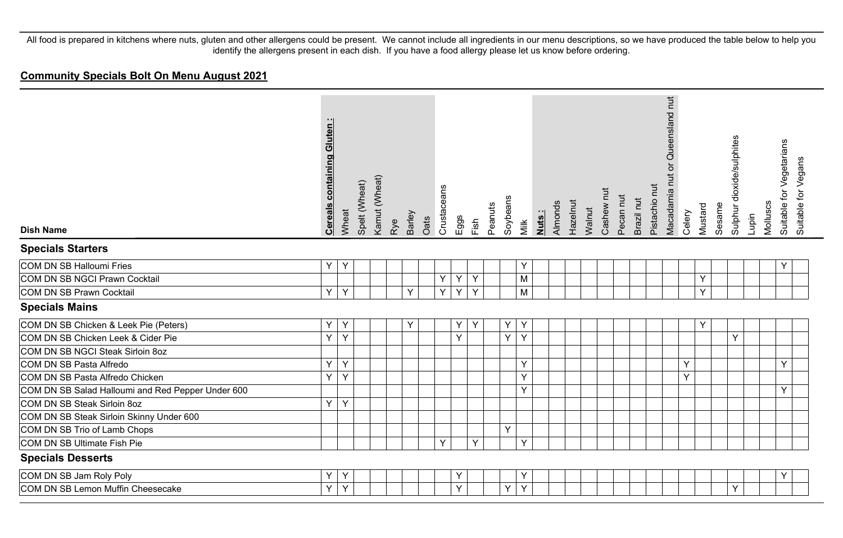# **Community Specials Bolt On Menu August 2021**

| <b>Dish Name</b>                                  | <b>Cereals containing Gluten:</b> | Wheat | Spelt (Wheat) | Kamut (Wheat) | Barley<br>Rye | Oats | Crustaceans | Eggs | Fish | Peanuts | Soybeans | Milk | Nuts: | Almonds | Hazelnut | Walnut | Cashew nut | Pecan nut | Brazil nut | Pistachio nut | Queensland nut<br>$\overline{\sigma}$<br>Macadamia nut | Celery | Mustard | Sesame | Sulphur dioxide/sulphites | Lupin | Molluscs | Suitable for Vegetarians<br>Suitable for Vegans |  |
|---------------------------------------------------|-----------------------------------|-------|---------------|---------------|---------------|------|-------------|------|------|---------|----------|------|-------|---------|----------|--------|------------|-----------|------------|---------------|--------------------------------------------------------|--------|---------|--------|---------------------------|-------|----------|-------------------------------------------------|--|
| <b>Specials Starters</b>                          |                                   |       |               |               |               |      |             |      |      |         |          |      |       |         |          |        |            |           |            |               |                                                        |        |         |        |                           |       |          |                                                 |  |
| <b>COM DN SB Halloumi Fries</b>                   | Y                                 | Y     |               |               |               |      |             |      |      |         |          | Υ    |       |         |          |        |            |           |            |               |                                                        |        |         |        |                           |       |          | Υ                                               |  |
| COM DN SB NGCI Prawn Cocktail                     |                                   |       |               |               |               |      | Y           | Y    | Y    |         |          | M    |       |         |          |        |            |           |            |               |                                                        |        | Y       |        |                           |       |          |                                                 |  |
| <b>COM DN SB Prawn Cocktail</b>                   | Y                                 | Y     |               |               | Y             |      | Y           | Y    | Y    |         |          | M    |       |         |          |        |            |           |            |               |                                                        |        | Y       |        |                           |       |          |                                                 |  |
| <b>Specials Mains</b>                             |                                   |       |               |               |               |      |             |      |      |         |          |      |       |         |          |        |            |           |            |               |                                                        |        |         |        |                           |       |          |                                                 |  |
| COM DN SB Chicken & Leek Pie (Peters)             | Y                                 | Y     |               |               | Y             |      |             | Y    | Υ    |         | Υ        | Y    |       |         |          |        |            |           |            |               |                                                        |        | Y       |        |                           |       |          |                                                 |  |
| COM DN SB Chicken Leek & Cider Pie                | Y                                 | Y     |               |               |               |      |             | Y    |      |         | Y        | Y    |       |         |          |        |            |           |            |               |                                                        |        |         |        | Y                         |       |          |                                                 |  |
| COM DN SB NGCI Steak Sirloin 8oz                  |                                   |       |               |               |               |      |             |      |      |         |          |      |       |         |          |        |            |           |            |               |                                                        |        |         |        |                           |       |          |                                                 |  |
| COM DN SB Pasta Alfredo                           | Y                                 | Y     |               |               |               |      |             |      |      |         |          | Y    |       |         |          |        |            |           |            |               |                                                        | Y      |         |        |                           |       |          | Y                                               |  |
| COM DN SB Pasta Alfredo Chicken                   | Y                                 | Y     |               |               |               |      |             |      |      |         |          | Y    |       |         |          |        |            |           |            |               |                                                        | Y      |         |        |                           |       |          |                                                 |  |
| COM DN SB Salad Halloumi and Red Pepper Under 600 |                                   |       |               |               |               |      |             |      |      |         |          | Y    |       |         |          |        |            |           |            |               |                                                        |        |         |        |                           |       |          | Υ                                               |  |
| COM DN SB Steak Sirloin 8oz                       | Y                                 | Y     |               |               |               |      |             |      |      |         |          |      |       |         |          |        |            |           |            |               |                                                        |        |         |        |                           |       |          |                                                 |  |
| COM DN SB Steak Sirloin Skinny Under 600          |                                   |       |               |               |               |      |             |      |      |         |          |      |       |         |          |        |            |           |            |               |                                                        |        |         |        |                           |       |          |                                                 |  |
| COM DN SB Trio of Lamb Chops                      |                                   |       |               |               |               |      |             |      |      |         | Y        |      |       |         |          |        |            |           |            |               |                                                        |        |         |        |                           |       |          |                                                 |  |
| COM DN SB Ultimate Fish Pie                       |                                   |       |               |               |               |      | Y           |      | Y    |         |          | Y    |       |         |          |        |            |           |            |               |                                                        |        |         |        |                           |       |          |                                                 |  |
| <b>Specials Desserts</b>                          |                                   |       |               |               |               |      |             |      |      |         |          |      |       |         |          |        |            |           |            |               |                                                        |        |         |        |                           |       |          |                                                 |  |
| COM DN SB Jam Roly Poly                           | Υ                                 | Y     |               |               |               |      |             | Y    |      |         |          | Ÿ    |       |         |          |        |            |           |            |               |                                                        |        |         |        |                           |       |          | Υ                                               |  |
| COM DN SB Lemon Muffin Cheesecake                 | Y                                 | Y     |               |               |               |      |             | Y    |      |         | Y        | Y    |       |         |          |        |            |           |            |               |                                                        |        |         |        | Y                         |       |          |                                                 |  |
|                                                   |                                   |       |               |               |               |      |             |      |      |         |          |      |       |         |          |        |            |           |            |               |                                                        |        |         |        |                           |       |          |                                                 |  |